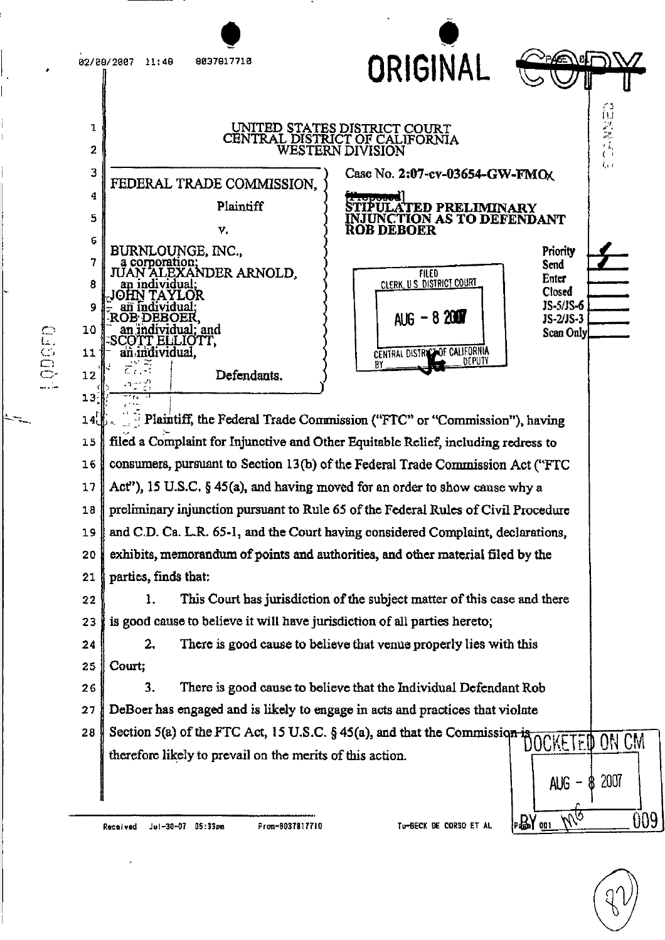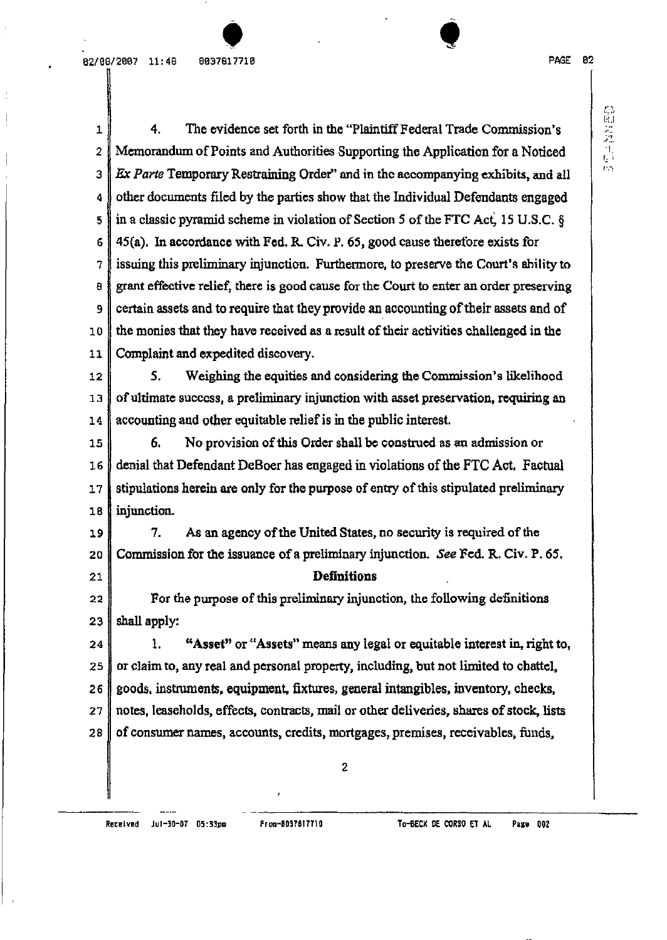$\hat{\bullet}$ 

島原義性にい

1 2 *3*  4 5 6 7 8 9 10 11 4. The evidence set forth in the "Plaintiff Federal Trade Commission's Memorandum of Points and Authorities Supporting the Application for a Noticed *Ex Parte* Temporary Restraining Order" and in the accompanying exhibits, and all other documents filed by the parties show that the Individual Defendants engaged in a classic pyramid scheme in violation of Section 5 of the FTC Act, 15 U.S.C.  $\S$  $45(a)$ . In accordance with Fed. R. Civ. P. 65, good cause therefore exists for issuing this preliminary injunction. Furthermore, to preserve the Court's ability to grant effective relief, there is good cause forthe Court to enter an order preserving certain assets and to require that they provide an accounting of their assets and of the monies that they have received as a result of their activities challenged in the Complaint and expedited discovery.

12 13 14 5. Weighing the equities and considering the Commission's likelihood of ultimate success, a preliminary injunction with asset preservation, requiring an accountingand other equitable reliefis in the public interest.

15 16 17 18 6. No provision of this Order shall be construed as an admission or denial that Defendant DeBoer has engaged in violations of the FTC Act. Factual stipulations herein are only for the purpose of entry of this stipulated preliminary injunction.

19 20 21 7. As an agency of the United States, no security is required of the Commission for the issuance of a preliminary injunction. See Fed. R. Civ. P. 65. Definitions

22 23 For the purpose of this preliminary injunction, the following definitions shall apply:

24 25 26 27 28 1. "Asset" or "Assets" means any legal or equitable interest in, right to, or claim to, any real and personal property, including, but not limited to chattel, goods, instruments, equipment, fixtures, general intangibles, inventory, checks, notes, leaseholds, effects, contracts, mail or other deliveries, shares of stock, lists of consumer names, accounts, credits, mortgages, premises, receivables, funds,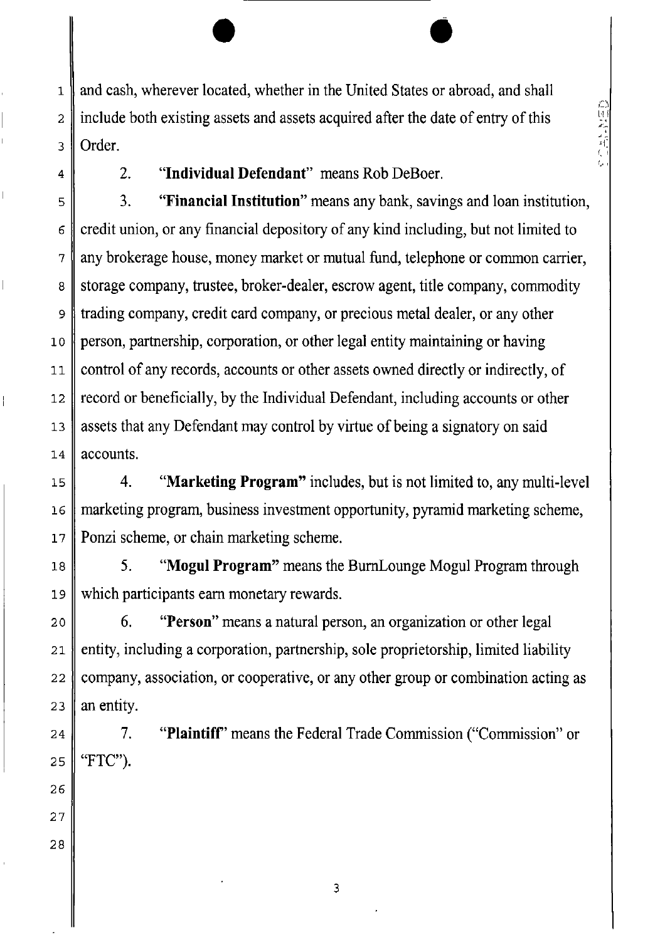and cash, wherever located, whether in the United States or abroad, and shall include both existing assets and assets acquired after the date of entry of this Order.

高原な 発見

4

1

2

3

6

7

8

10

11

14

18

19

20

2. **"Individual Defendant"** means Rob DeBoer.

•

5 9 12 13 3. **"Financial Institution"** means anybank, savings and loan institution, credit union, or any financial depository of any kind including, but not limited to any brokerage house, money market or mutual fund, telephone or common carrier, storage company, trustee, broker-dealer, escrow agent, title company, commodity trading company, credit card company, or precious metal dealer, or any other person, partnership, corporation, or otherlegal entity maintaining or having control of any records, accounts or other assets owned directly or indirectly, of record or beneficially, by the Individual Defendant, including accounts or other assets that any Defendant may control by virtue of being a signatory on said accounts.

15 16 17 4. **"Marketing Program"** includes, but is not limited to, any multi-level marketing program, business investment opportunity, pyramid marketing scheme, Ponzi scheme, or chain marketing scheme.

5. **"Mogul Program"** means the BurnLounge Mogul Program through which participants earn monetary rewards.

6. **"Person"** means a natural person, an organization or other legal entity, including a corporation, partnership, sole proprietorship, limited liability company, association, or cooperative, or any other group or combination acting as an entity.

7. **"Plaintiff'** means the Federal Trade Commission ("Commission" or "FTC").

28

3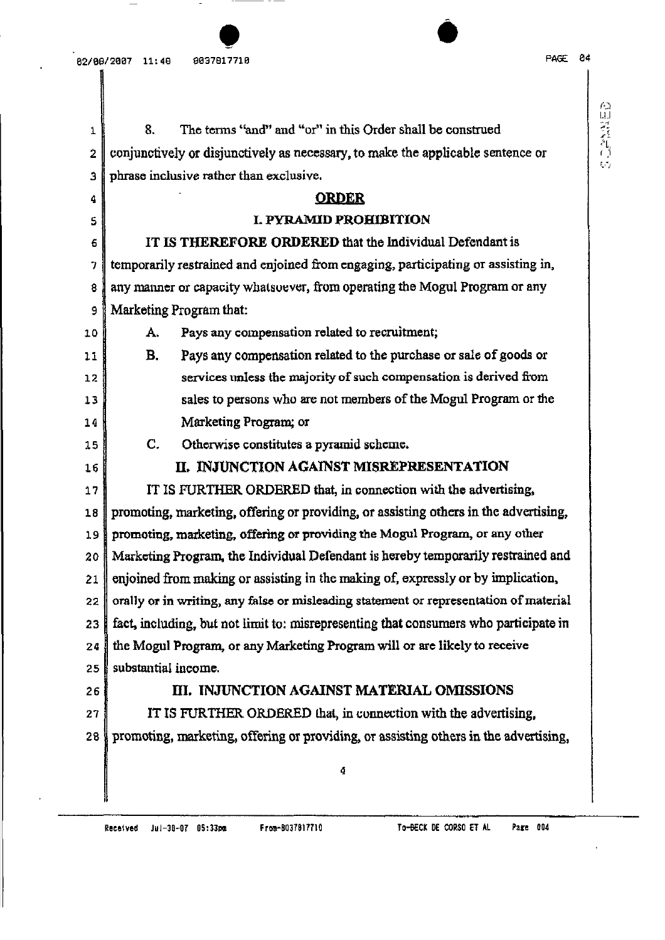**CONTRACTOR** 

| 1  | The terms "and" and "or" in this Order shall be construed<br>8.                       |  |  |  |  |
|----|---------------------------------------------------------------------------------------|--|--|--|--|
| 2  | conjunctively or disjunctively as necessary, to make the applicable sentence or       |  |  |  |  |
| з  | phrase inclusive rather than exclusive.                                               |  |  |  |  |
| 4  | <b>ORDER</b>                                                                          |  |  |  |  |
| 5  | <b>I. PYRAMID PROHIBITION</b>                                                         |  |  |  |  |
| 6  | IT IS THEREFORE ORDERED that the Individual Defendant is                              |  |  |  |  |
| 7  | temporarily restrained and enjoined from engaging, participating or assisting in,     |  |  |  |  |
| 8  | any manner or capacity whatsoever, from operating the Mogul Program or any            |  |  |  |  |
| 9  | Marketing Program that:                                                               |  |  |  |  |
| 10 | Pays any compensation related to recruitment;<br>А.                                   |  |  |  |  |
| 11 | Pays any compensation related to the purchase or sale of goods or<br>В.               |  |  |  |  |
| 12 | services unless the majority of such compensation is derived from                     |  |  |  |  |
| 13 | sales to persons who are not members of the Mogul Program or the                      |  |  |  |  |
| 14 | Marketing Program; or                                                                 |  |  |  |  |
| 15 | $\mathbf{C}$ .<br>Otherwise constitutes a pyramid scheme.                             |  |  |  |  |
| 16 | II. INJUNCTION AGAINST MISREPRESENTATION                                              |  |  |  |  |
| 17 | IT IS FURTHER ORDERED that, in connection with the advertising,                       |  |  |  |  |
| 18 | promoting, marketing, offering or providing, or assisting others in the advertising,  |  |  |  |  |
| 19 | promoting, marketing, offering or providing the Mogul Program, or any other           |  |  |  |  |
| 20 | Marketing Program, the Individual Defendant is hereby temporarily restrained and      |  |  |  |  |
| 21 | enjoined from making or assisting in the making of, expressly or by implication,      |  |  |  |  |
| 22 | orally or in writing, any false or misleading statement or representation of material |  |  |  |  |
| 23 | fact, including, but not limit to: misrepresenting that consumers who participate in  |  |  |  |  |
| 24 | the Mogul Program, or any Marketing Program will or are likely to receive             |  |  |  |  |
| 25 | substantial income.                                                                   |  |  |  |  |
| 26 | III. INJUNCTION AGAINST MATERIAL OMISSIONS                                            |  |  |  |  |
| 27 | IT IS FURTHER ORDERED that, in connection with the advertising,                       |  |  |  |  |
| 28 | promoting, marketing, offering or providing, or assisting others in the advertising,  |  |  |  |  |
|    | 4                                                                                     |  |  |  |  |
|    |                                                                                       |  |  |  |  |
|    |                                                                                       |  |  |  |  |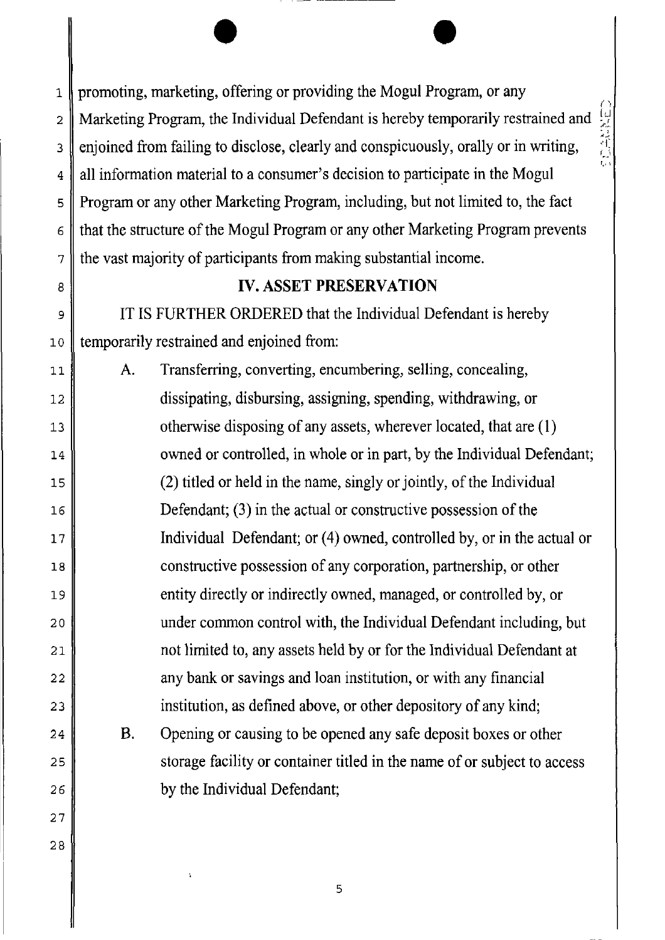...,

1 2 3 4 5 6 7 promoting, marketing, offering or providing the Mogul Program, or any Marketing Program, the Individual Defendant is hereby temporarily restrained and enjoined from failing to disclose, clearly and conspicuously, orally or in writing, all information material to a consumer's decision to participate in the Mogul Program or any other Marketing Program, including, but not limited to, the fact that the structure of the Mogul Program or any other Marketing Program prevents the vast majority of participants from making substantial income.

 $\bullet$ 

# **IV. ASSET PRESERVATION**

IT IS FURTHER ORDERED that the Individual Defendant is hereby temporarily restrained and enjoined from:

8

9

10

11

12

13

14

15

16

17

18

19

20

21

22

23

24

25

26

27

28

A. Transferring, converting, encumbering, selling, concealing, dissipating, disbursing, assigning, spending, withdrawing, or otherwise disposing of any assets, wherever located, that are (I) owned or controlled, in whole or in part, by the Individual Defendant;  $(2)$  titled or held in the name, singly or jointly, of the Individual Defendant; (3) in the actual or constructive possession of the Individual Defendant; or (4) owned, controlled by, or in the actual or constructive possession of any corporation, partnership, or other entity directly or indirectly owned, managed, or controlled by, or under common control with, the Individual Defendant including, but not limited to, any assets held by or for the Individual Defendant at any bank or savings and loan institution, or with any financial institution, as defined above, or other depository of any kind;

B. Opening or causing to be opened any safe deposit boxes or other storage facility or container titled in the name of or subject to access by the Individual Defendant;

5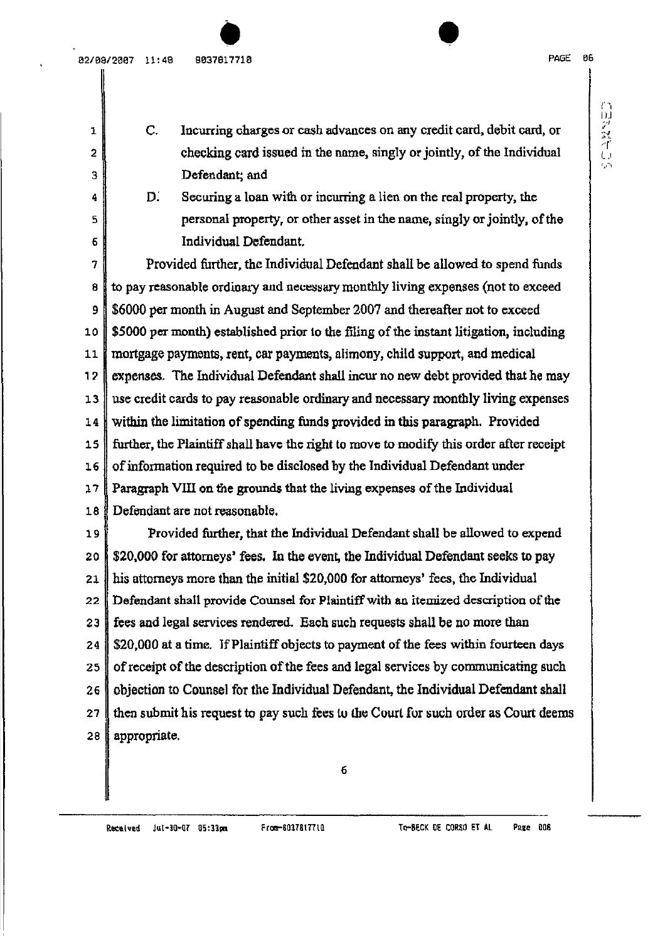a2/e9/2ee7 11:49 ge3791771e 

6

•

C. Incurring charges or cash advances on any credit card, debit card, or checking card issued in the name, singly or jointly, of the Individual Defendant; and

D. Securing a loan with or incurring a lien on the real property, the personal property, or other asset in the name, singly or jointly, of the Individual Defendant.

7 8 9 10 11  $12$ 13 14 15 16 17 18 19 20 21 22 23 Provided further, the Individual Defendant shall be allowed to spend funds to pay reasonable ordinary and necessary monthly living expenses (not to exceed \$6000 per month in August and September 2007 and thereafter not to exceed \$5000 per month) established prior to the filing of the instant litigation, including mortgage payments, rent, car payments, alimony, child support, and medical expenses. The Individual Defendant shall incur no new debt provided that he may use credit cards to pay reasonable ordinaryand necessary monthly living expenses within the limitation of spending funds provided in this paragraph. Provided further, the Plaintiff shall have the right to move to modify this order after receipt of information required to be disclosed by the Individual Defendant under Paragraph VIII on the grounds that the living expenses of the Individual Defendant are not reasonable. Provided further, that the Individual Defendant shall be allowed to expend \$20,000 for attorneys' fees. In the event, the Individual Defendant seeks to pay his attorneys more than the initial \$20,000 for attorneys' fees, the Individual Defendant shall provide Counsel for Plaintiff with an itemized description of the fees and legal services rendered. Each such requests shall be no more than

24 \$20,000 at a time. If Plaintiff objects to payment of the fees within fourteen days

25 of receipt of the description of the fees and legal services by communicating such

26 27 28 objection to Counsel for the Individual Defendant, the Individual Defendant shall then submit his request to pay such fees to the Court for such order as Court deems appropriate.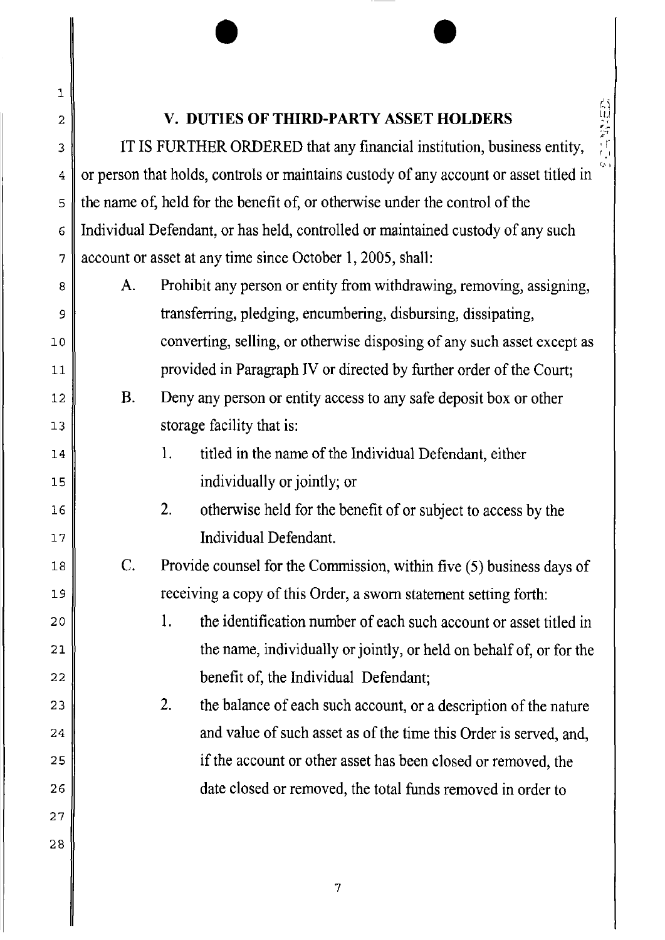C'I

# **V. DUTIES OF THIRD-PARTY ASSET HOLDERS**

1

2

3

4

5

6

7

23

24

25

26

27

28

 $\bullet$   $\bullet$ 

IT IS FURTHER ORDERED that any financial institution, business entity, or person that holds, controls or maintains custody of any account or asset titled in the name of, held for the benefit of, or otherwise under the control of the Individual Defendant, or has held, controlled or maintained custody of any such account or asset at any time since October I, 2005, shall:

| 8      | A. | Prohibit any person or entity from withdrawing, removing, assigning,    |
|--------|----|-------------------------------------------------------------------------|
| 9      |    | transferring, pledging, encumbering, disbursing, dissipating,           |
| 10     |    | converting, selling, or otherwise disposing of any such asset except as |
| 11     |    | provided in Paragraph IV or directed by further order of the Court;     |
| 12     | B. | Deny any person or entity access to any safe deposit box or other       |
| 13     |    | storage facility that is:                                               |
| $14\,$ |    | titled in the name of the Individual Defendant, either<br>1.            |
| 15     |    | individually or jointly; or                                             |
| 16     |    | 2.<br>otherwise held for the benefit of or subject to access by the     |
| $17\,$ |    | Individual Defendant.                                                   |
| 18     | C. | Provide counsel for the Commission, within five (5) business days of    |
| 19     |    | receiving a copy of this Order, a sworn statement setting forth:        |
| 20     |    | the identification number of each such account or asset titled in<br>1. |
| 21     |    | the name, individually or jointly, or held on behalf of, or for the     |
| 22     |    | benefit of, the Individual Defendant;                                   |

2. the balance of each such account, or a description of the nature and value of such asset as of the time this Order is served, and, if the account or other asset has been closed or removed, the date closed or removed, the total funds removed in order to

7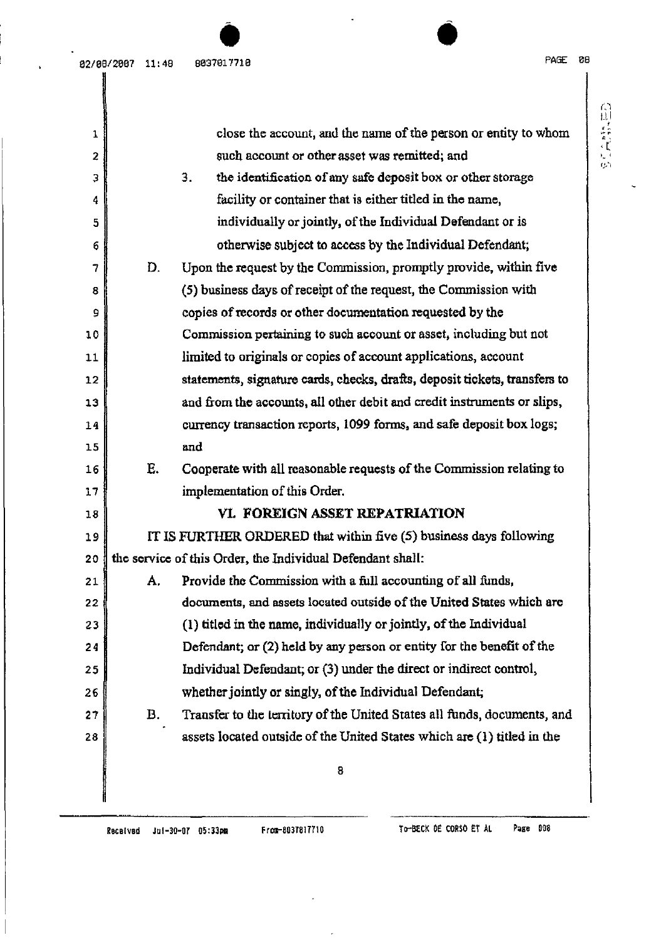自主管理

| 1              |                                                                   | close the account, and the name of the person or entity to whom            |  |  |  |
|----------------|-------------------------------------------------------------------|----------------------------------------------------------------------------|--|--|--|
| $\overline{2}$ | such account or other asset was remitted; and                     |                                                                            |  |  |  |
| з              | 3.<br>the identification of any safe deposit box or other storage |                                                                            |  |  |  |
| 4              | facility or container that is either titled in the name,          |                                                                            |  |  |  |
| 5              | individually or jointly, of the Individual Defendant or is        |                                                                            |  |  |  |
| 6              |                                                                   | otherwise subject to access by the Individual Defendant;                   |  |  |  |
| 7              | D.                                                                | Upon the request by the Commission, promptly provide, within five          |  |  |  |
| 8              |                                                                   | (5) business days of receipt of the request, the Commission with           |  |  |  |
| 9              |                                                                   | copies of records or other documentation requested by the                  |  |  |  |
| 10             |                                                                   | Commission pertaining to such account or asset, including but not          |  |  |  |
| 11             |                                                                   | limited to originals or copies of account applications, account            |  |  |  |
| 12             |                                                                   | statements, signature cards, checks, drafts, deposit tickets, transfers to |  |  |  |
| 13             |                                                                   | and from the accounts, all other debit and credit instruments or slips,    |  |  |  |
| 14             |                                                                   | currency transaction reports, 1099 forms, and safe deposit box logs;       |  |  |  |
| 15             |                                                                   | and                                                                        |  |  |  |
| 16             | Е.                                                                | Cooperate with all reasonable requests of the Commission relating to       |  |  |  |
| 17             |                                                                   | implementation of this Order.                                              |  |  |  |
| 18             |                                                                   | VI. FOREIGN ASSET REPATRIATION                                             |  |  |  |
| 19             |                                                                   | IT IS FURTHER ORDERED that within five (5) business days following         |  |  |  |
| 20             |                                                                   | the service of this Order, the Individual Defendant shall:                 |  |  |  |
| 21             | Α.                                                                | Provide the Commission with a full accounting of all funds,                |  |  |  |
| 22             |                                                                   | documents, and assets located outside of the United States which are       |  |  |  |
| 23             |                                                                   | (1) titled in the name, individually or jointly, of the Individual         |  |  |  |
| 24             |                                                                   | Defendant; or (2) held by any person or entity for the benefit of the      |  |  |  |
| 25             |                                                                   | Individual Defendant; or (3) under the direct or indirect control,         |  |  |  |
| 26             |                                                                   | whether jointly or singly, of the Individual Defendant;                    |  |  |  |
| 27             | B.                                                                | Transfer to the territory of the United States all funds, documents, and   |  |  |  |
| 28             |                                                                   | assets located outside of the United States which are (1) titled in the    |  |  |  |
|                |                                                                   | 8                                                                          |  |  |  |
|                |                                                                   |                                                                            |  |  |  |
|                |                                                                   |                                                                            |  |  |  |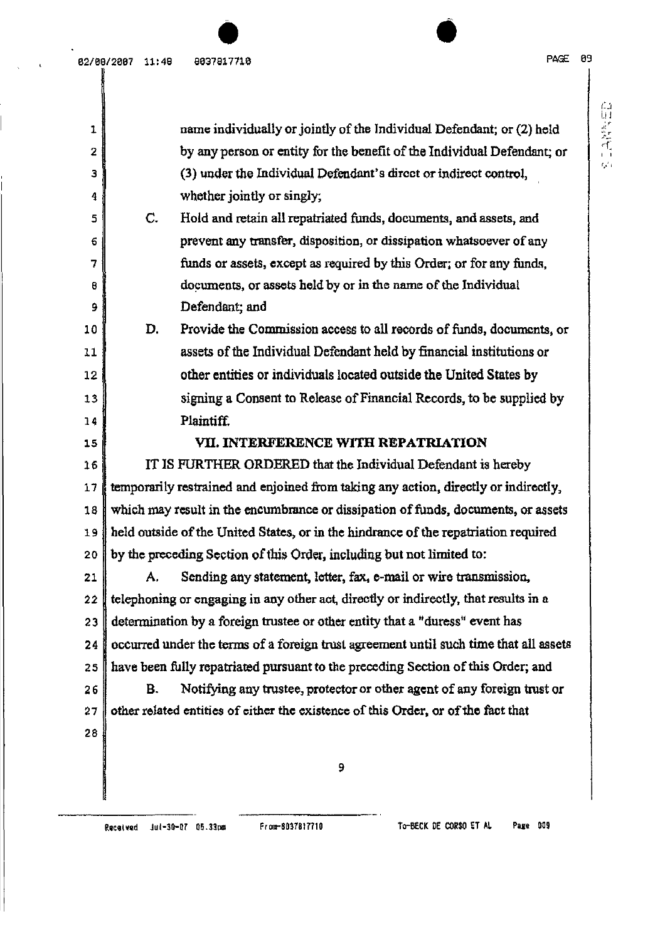| 1  |    | name individually or jointly of the Individual Defendant; or (2) held                 |
|----|----|---------------------------------------------------------------------------------------|
| 2  |    | by any person or entity for the benefit of the Individual Defendant; or               |
| 3  |    | (3) under the Individual Defendant's direct or indirect control,                      |
| 4  |    | whether jointly or singly;                                                            |
| 5  | C. | Hold and retain all repatriated funds, documents, and assets, and                     |
| 6  |    | prevent any transfer, disposition, or dissipation whatsoever of any                   |
| 7  |    | funds or assets, except as required by this Order; or for any funds,                  |
| 8  |    | documents, or assets held by or in the name of the Individual                         |
| 9  |    | Defendant; and                                                                        |
| 10 | D. | Provide the Commission access to all records of funds, documents, or                  |
| 11 |    | assets of the Individual Defendant held by financial institutions or                  |
| 12 |    | other entities or individuals located outside the United States by                    |
| 13 |    | signing a Consent to Release of Financial Records, to be supplied by                  |
| 14 |    | Plaintiff.                                                                            |
| 15 |    | VII. INTERFERENCE WITH REPATRIATION                                                   |
| 16 |    | IT IS FURTHER ORDERED that the Individual Defendant is hereby                         |
| 17 |    | temporarily restrained and enjoined from taking any action, directly or indirectly,   |
| 18 |    | which may result in the encumbrance or dissipation of funds, documents, or assets     |
| 19 |    | held outside of the United States, or in the hindrance of the repatriation required   |
| 20 |    | by the preceding Section of this Order, including but not limited to:                 |
| 21 | А. | Sending any statement, letter, fax, e-mail or wire transmission,                      |
| 22 |    | telephoning or engaging in any other act, directly or indirectly, that results in a   |
| 23 |    | determination by a foreign trustee or other entity that a "duress" event has          |
| 24 |    | occurred under the terms of a foreign trust agreement until such time that all assets |
| 25 |    | have been fully repatriated pursuant to the preceding Section of this Order; and      |
| 26 | Β. | Notifying any trustee, protector or other agent of any foreign trust or               |
| 27 |    | other related entities of either the existence of this Order, or of the fact that     |
| 28 |    |                                                                                       |
|    |    | 9                                                                                     |
|    |    |                                                                                       |
|    |    |                                                                                       |

. .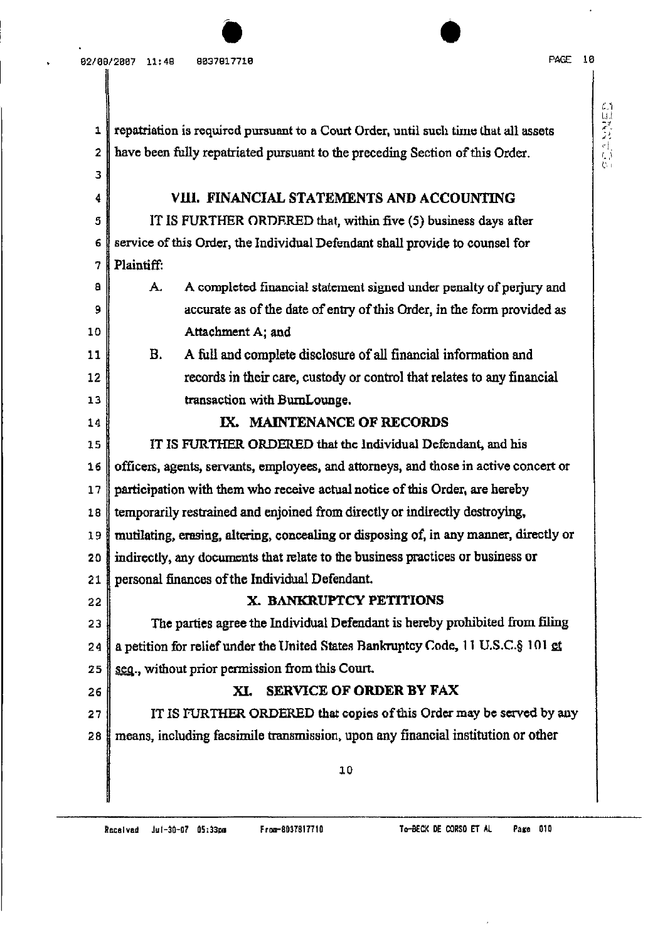| 11<br>| 11<br>| 11<br>| 11

I. ,'I 1..', I

1 2 3 4 5 6 7 a 9 10 11 12 13 14 15 16 17 18 19 20 21 22 23 24 25 26 27 28 repatriation is required pursuant to a Court Order, until such time that all assets have been fully repatriated pursuant to the preceding Section of this Order. VIII. FINANCIAL STATEMENTS AND ACCOUNTING IT IS FURTHER ORDRRED that, within five (5) business days after service of this Order, the Individual Defendant shall provide to counsel for Plaintiff: A. A completed financial statement signed under penalty of perjury and accurate as of the date of entry of this Order, in the form provided as Attachment A; and B. A full and complete disclosure of all financial information and records in their care, custody or control that relates to any financial transaction with BumLounge. IX. MAINTENANCE OF RECORDS IT IS FURTHER ORDERED that the Individual Defendant, and his officers, agents, servants, employees, and attorneys, and those in active concert or participation with them who receive actual notice of this Order, are hereby temporarily restrained and enjoined from directly or indirectly destroying, mutilating, erasing, altering, concealing or disposing of, in any manner, directly or indirectly, any documents that relate to the business practices or business or personal finances of the Individual Defendant. X. BANKRUPTCY PETITIONS The parties agree the Individual Defendant is hereby prohibited from filing a petition for relief under the United States Bankruptcy Code, 11 U.S.C.§ 101 ct seQ., without prior permission from this Court. XL SERVICE OF ORDER BY FAX IT IS FURTHER ORDERED that copies of this Order may be served by any means, including facsimile transmission, upon any financial institution or other 10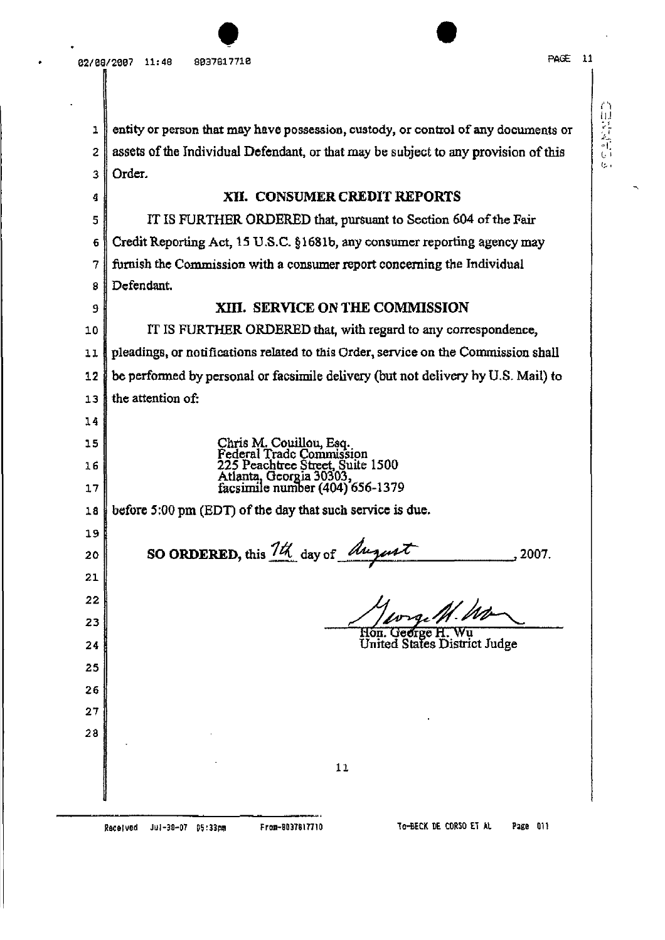$\bullet$ 

| 1  | entity or person that may have possession, custody, or control of any documents or     |  |  |
|----|----------------------------------------------------------------------------------------|--|--|
| 2  | assets of the Individual Defendant, or that may be subject to any provision of this    |  |  |
| 3  | Order.                                                                                 |  |  |
| 4  | <b>XII. CONSUMER CREDIT REPORTS</b>                                                    |  |  |
| 5  | IT IS FURTHER ORDERED that, pursuant to Section 604 of the Fair                        |  |  |
| 6  | Credit Reporting Act, 15 U.S.C. §1681b, any consumer reporting agency may              |  |  |
| 7  | furnish the Commission with a consumer report concerning the Individual                |  |  |
| 8  | Defendant.                                                                             |  |  |
| 9  | XIII. SERVICE ON THE COMMISSION                                                        |  |  |
| 10 | IT IS FURTHER ORDERED that, with regard to any correspondence,                         |  |  |
| 11 | pleadings, or notifications related to this Order, service on the Commission shall     |  |  |
| 12 | be performed by personal or facsimile delivery (but not delivery by U.S. Mail) to      |  |  |
| 13 | the attention of:                                                                      |  |  |
| 14 |                                                                                        |  |  |
| 15 | Chris M. Couillou, Esq.<br>Federal Trade Commission                                    |  |  |
| 16 | 225 Peachtree Street, Suite 1500                                                       |  |  |
| 17 | Atlanta, Georgia 30303,<br>facsimile number (404) 656-1379                             |  |  |
| 18 | before 5:00 pm (EDT) of the day that such service is due.                              |  |  |
| 19 |                                                                                        |  |  |
| 20 | SO ORDERED, this 1th day of <i>August</i><br>2007.                                     |  |  |
| 21 |                                                                                        |  |  |
| 22 |                                                                                        |  |  |
| 23 | wige M. Wo                                                                             |  |  |
| 24 | Hon. George H. Wu<br>United States District Judge                                      |  |  |
| 25 |                                                                                        |  |  |
| 26 |                                                                                        |  |  |
| 27 |                                                                                        |  |  |
| 28 |                                                                                        |  |  |
|    |                                                                                        |  |  |
|    | 11                                                                                     |  |  |
|    |                                                                                        |  |  |
|    | TO-BECK DE CORSO ET AL<br>Page 011<br>From-8037817710<br>Jul-30-07 05:33pm<br>Received |  |  |

 $\sum_{i=1}^{n}$ 

 $\overline{a}$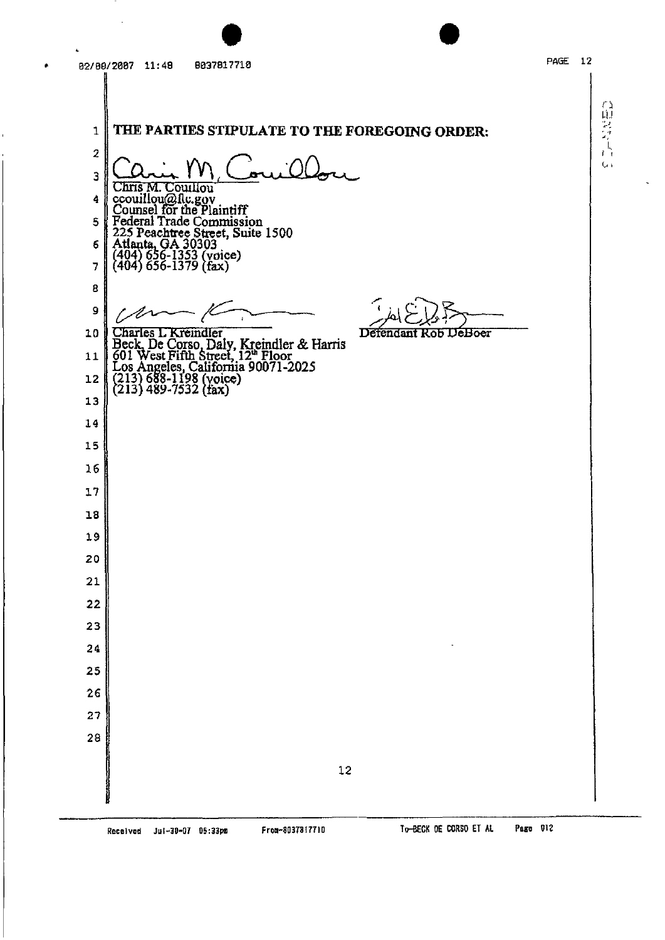自語人

 $\zeta_{\rm ch}$ 

THE PARTIES STIPULATE TO THE FOREGOING ORDER:  $\mathbf{1}$  $\boldsymbol{2}$ 3 Chris M. Couillou<br>couillou@flc.gov<br>Counsel for the Plaintiff<br>Federal Trade Commission<br>225 Peachtree Street, Suite 1500<br>Atlanta, GA 30303<br>(404) 656-1353 (voice)<br>(404) 656-1379 (fax)  $\ddot{\bf{4}}$  $\overline{\mathbf{5}}$ 6 7  $\bf{B}$ 9 z Charles L Kreindler<br>Beck, De Corso, Daly, Kreindler & Harris<br>601 West Fifth Street, 12<sup>th</sup> Floor<br>Los Angeles, California 90071-2025<br>(213) 688-1198 (voice)<br>(213) 489-7532 (fax) Defendant Rob DeBoer 10  $11$  $12$ 13  $14$ 15  $16$  $17$ 18 19 20 21 22 23 24 25 26 27  $28$  $12$ 

To-BECK DE CORSO ET AL Page 012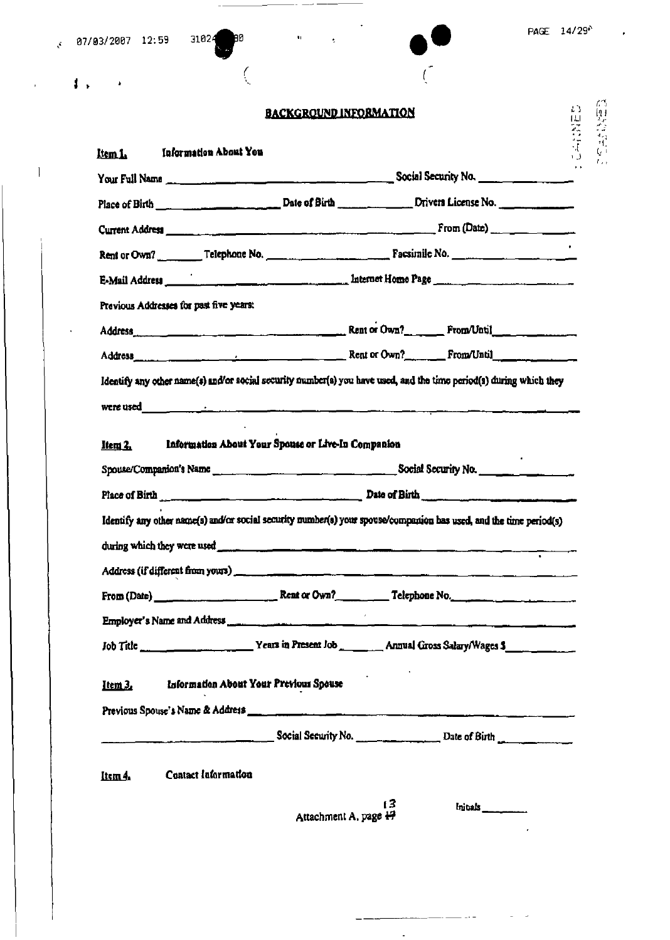| 4,                                                                                                                                                                                                                             |                                                    |  |  |
|--------------------------------------------------------------------------------------------------------------------------------------------------------------------------------------------------------------------------------|----------------------------------------------------|--|--|
|                                                                                                                                                                                                                                | <b>BACKGROUND INFORMATION</b>                      |  |  |
| <b>Information About You</b><br>Item L.                                                                                                                                                                                        |                                                    |  |  |
| Your Full Name compared to the control of the Social Security No.                                                                                                                                                              |                                                    |  |  |
|                                                                                                                                                                                                                                |                                                    |  |  |
|                                                                                                                                                                                                                                |                                                    |  |  |
|                                                                                                                                                                                                                                |                                                    |  |  |
|                                                                                                                                                                                                                                |                                                    |  |  |
| Previous Addresses for past five years:                                                                                                                                                                                        |                                                    |  |  |
|                                                                                                                                                                                                                                |                                                    |  |  |
| Address runs and the contract of the Rent of Own? From Until                                                                                                                                                                   |                                                    |  |  |
| Item 2,                                                                                                                                                                                                                        | Information About Your Spouse or Live-In Companion |  |  |
|                                                                                                                                                                                                                                |                                                    |  |  |
|                                                                                                                                                                                                                                |                                                    |  |  |
| Identify any other name(s) and/or social security number(s) your spouse/companion has used, and the time period(s)                                                                                                             |                                                    |  |  |
|                                                                                                                                                                                                                                |                                                    |  |  |
| Address (if different from yours) entertainment contains the contract of the contract of the contract of the contract of the contract of the contract of the contract of the contract of the contract of the contract of the c |                                                    |  |  |
|                                                                                                                                                                                                                                |                                                    |  |  |
|                                                                                                                                                                                                                                |                                                    |  |  |
|                                                                                                                                                                                                                                |                                                    |  |  |
| $I$ tem $3$ .                                                                                                                                                                                                                  | Information About Your Previous Spouse             |  |  |
|                                                                                                                                                                                                                                | $\sim$ Social Security No. $\sim$ Date of Birth    |  |  |
| Contact Information<br>Item 4.                                                                                                                                                                                                 |                                                    |  |  |

 $\omega_{\rm{c}} =$ 

 $\mathbb{R}^2$ 

 $\bar{r}$ 

 $\overline{1}$ 

 $\cdot$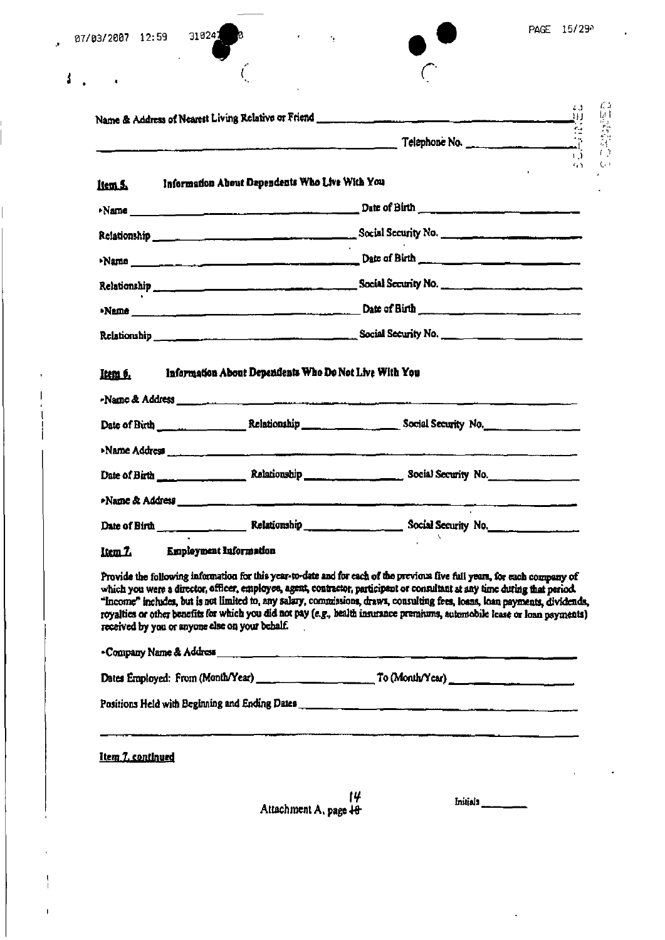| 07/03/2007 12:59 | 31924 |
|------------------|-------|
|                  |       |

 $\ddot{\phantom{1}}$ 

 $\bar{3}$ 

 $\mathsf I$ 

f,

ø

 $\zeta$ 

 $\overline{\Omega}$ 

 $\mathbb{C}^{\mathbb{C}}$ 

 $\ddot{\phantom{a}}$ 

|                   |                                                                                                                                                                                                                                                                                                                                                                                                                                                                                                                                                                        | $\left( \begin{array}{c} 1 \\ 1 \end{array} \right)$ |
|-------------------|------------------------------------------------------------------------------------------------------------------------------------------------------------------------------------------------------------------------------------------------------------------------------------------------------------------------------------------------------------------------------------------------------------------------------------------------------------------------------------------------------------------------------------------------------------------------|------------------------------------------------------|
|                   | $T$ elephone No. $T$                                                                                                                                                                                                                                                                                                                                                                                                                                                                                                                                                   |                                                      |
| liem 5.           | Information About Dependents Who Live With You                                                                                                                                                                                                                                                                                                                                                                                                                                                                                                                         | <b>C.S. </b>                                         |
|                   |                                                                                                                                                                                                                                                                                                                                                                                                                                                                                                                                                                        |                                                      |
|                   |                                                                                                                                                                                                                                                                                                                                                                                                                                                                                                                                                                        |                                                      |
|                   |                                                                                                                                                                                                                                                                                                                                                                                                                                                                                                                                                                        |                                                      |
|                   | Relationship Relationship Relationship Content Content of the Content of the Content of the Content of the Content of the Content of the Content of the Content of the Content of the Content of the Content of the Content of                                                                                                                                                                                                                                                                                                                                         |                                                      |
|                   |                                                                                                                                                                                                                                                                                                                                                                                                                                                                                                                                                                        |                                                      |
|                   |                                                                                                                                                                                                                                                                                                                                                                                                                                                                                                                                                                        |                                                      |
| Item 6.           | Information About Dependents Who Do Not Live With You                                                                                                                                                                                                                                                                                                                                                                                                                                                                                                                  |                                                      |
|                   |                                                                                                                                                                                                                                                                                                                                                                                                                                                                                                                                                                        |                                                      |
|                   | >Name Address                                                                                                                                                                                                                                                                                                                                                                                                                                                                                                                                                          |                                                      |
|                   |                                                                                                                                                                                                                                                                                                                                                                                                                                                                                                                                                                        |                                                      |
|                   |                                                                                                                                                                                                                                                                                                                                                                                                                                                                                                                                                                        |                                                      |
|                   |                                                                                                                                                                                                                                                                                                                                                                                                                                                                                                                                                                        |                                                      |
|                   | Item 7. Employment Information                                                                                                                                                                                                                                                                                                                                                                                                                                                                                                                                         |                                                      |
|                   | Provide the following information for this year-to-date and for each of the previous five full years, for each company of<br>which you were a director, officer, employes, agent, contractor, participant or consultant at any time during that period.<br>"Income" includes, but is not limited to, any salary, commissions, draws, consulting fees, loans, loan payments, dividends,<br>royalties or other benefits for which you did not pay (e.g., health insurance premiums, automobile lease or loan payments)<br>received by you or anyone else on your behalf. |                                                      |
|                   |                                                                                                                                                                                                                                                                                                                                                                                                                                                                                                                                                                        |                                                      |
|                   |                                                                                                                                                                                                                                                                                                                                                                                                                                                                                                                                                                        |                                                      |
| Item 7. continued |                                                                                                                                                                                                                                                                                                                                                                                                                                                                                                                                                                        |                                                      |
|                   | 14<br>Initials<br>Attachment A, page 18                                                                                                                                                                                                                                                                                                                                                                                                                                                                                                                                |                                                      |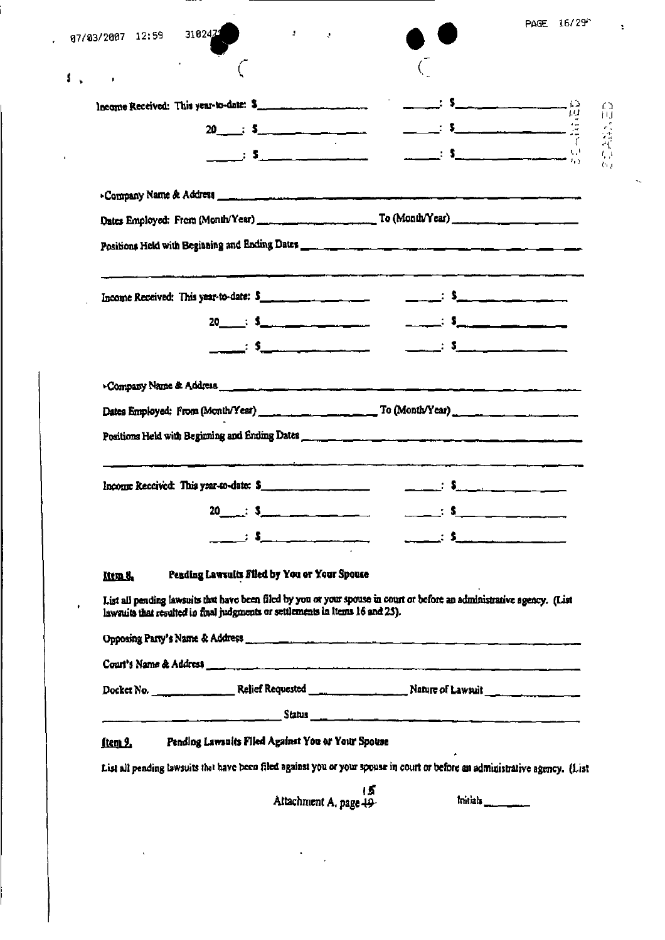| 07/03/2007 12:59 3102471 |    | $\sim 200$ and $\sim 10$                                                      |                                                                                                                                                                                                                                                                                                                                              | PAGE 16/29 <sup>*</sup>                                                                                                                                                                                                                                                                                             |
|--------------------------|----|-------------------------------------------------------------------------------|----------------------------------------------------------------------------------------------------------------------------------------------------------------------------------------------------------------------------------------------------------------------------------------------------------------------------------------------|---------------------------------------------------------------------------------------------------------------------------------------------------------------------------------------------------------------------------------------------------------------------------------------------------------------------|
|                          |    |                                                                               |                                                                                                                                                                                                                                                                                                                                              |                                                                                                                                                                                                                                                                                                                     |
|                          |    |                                                                               |                                                                                                                                                                                                                                                                                                                                              |                                                                                                                                                                                                                                                                                                                     |
|                          |    | $20 \qquad \qquad ; \quad \mathsf{S}$                                         | $\begin{picture}(180,10) \put(0,0){\line(1,0){100}} \put(10,0){\line(1,0){100}} \put(10,0){\line(1,0){100}} \put(10,0){\line(1,0){100}} \put(10,0){\line(1,0){100}} \put(10,0){\line(1,0){100}} \put(10,0){\line(1,0){100}} \put(10,0){\line(1,0){100}} \put(10,0){\line(1,0){100}} \put(10,0){\line(1,0){100}} \put(10,0){\line(1,0){100}}$ |                                                                                                                                                                                                                                                                                                                     |
|                          |    |                                                                               |                                                                                                                                                                                                                                                                                                                                              |                                                                                                                                                                                                                                                                                                                     |
|                          |    |                                                                               |                                                                                                                                                                                                                                                                                                                                              |                                                                                                                                                                                                                                                                                                                     |
|                          |    |                                                                               |                                                                                                                                                                                                                                                                                                                                              |                                                                                                                                                                                                                                                                                                                     |
|                          |    |                                                                               |                                                                                                                                                                                                                                                                                                                                              |                                                                                                                                                                                                                                                                                                                     |
|                          |    |                                                                               |                                                                                                                                                                                                                                                                                                                                              |                                                                                                                                                                                                                                                                                                                     |
|                          |    | Income Received: This year-to-date: $5$                                       |                                                                                                                                                                                                                                                                                                                                              | <u>_______; \$__________________</u>                                                                                                                                                                                                                                                                                |
|                          |    |                                                                               |                                                                                                                                                                                                                                                                                                                                              |                                                                                                                                                                                                                                                                                                                     |
|                          |    | <u>_____</u> : \$__________________                                           |                                                                                                                                                                                                                                                                                                                                              | $\frac{1}{2}$ $\frac{1}{2}$ $\frac{1}{2}$ $\frac{1}{2}$ $\frac{1}{2}$ $\frac{1}{2}$ $\frac{1}{2}$ $\frac{1}{2}$ $\frac{1}{2}$ $\frac{1}{2}$ $\frac{1}{2}$ $\frac{1}{2}$ $\frac{1}{2}$ $\frac{1}{2}$ $\frac{1}{2}$ $\frac{1}{2}$ $\frac{1}{2}$ $\frac{1}{2}$ $\frac{1}{2}$ $\frac{1}{2}$ $\frac{1}{2}$ $\frac{1}{2}$ |
|                          |    |                                                                               |                                                                                                                                                                                                                                                                                                                                              |                                                                                                                                                                                                                                                                                                                     |
|                          |    |                                                                               |                                                                                                                                                                                                                                                                                                                                              |                                                                                                                                                                                                                                                                                                                     |
|                          |    |                                                                               | Positions Held with Beginning and Ending Dates <b>Communications</b> and the control of the control of the control of the                                                                                                                                                                                                                    |                                                                                                                                                                                                                                                                                                                     |
|                          |    |                                                                               |                                                                                                                                                                                                                                                                                                                                              |                                                                                                                                                                                                                                                                                                                     |
|                          |    | Income Received: This year-to-date: \$                                        |                                                                                                                                                                                                                                                                                                                                              |                                                                                                                                                                                                                                                                                                                     |
|                          | 20 | $\mathbf{S}$ . $\mathbf{S}$ . The set of $\mathbf{S}$                         |                                                                                                                                                                                                                                                                                                                                              |                                                                                                                                                                                                                                                                                                                     |
|                          |    | : \$_ _______________                                                         |                                                                                                                                                                                                                                                                                                                                              |                                                                                                                                                                                                                                                                                                                     |
| Item 8.                  |    | Pending Lawsuits Filed by You or Your Spouse                                  |                                                                                                                                                                                                                                                                                                                                              |                                                                                                                                                                                                                                                                                                                     |
|                          |    |                                                                               | List all pending lawsuits that have been filed by you or your spouse in court or before an administrative agency. (List                                                                                                                                                                                                                      |                                                                                                                                                                                                                                                                                                                     |
|                          |    | lawsuits that resulted in final judgments or settlements in items 16 and 25). |                                                                                                                                                                                                                                                                                                                                              |                                                                                                                                                                                                                                                                                                                     |
|                          |    |                                                                               |                                                                                                                                                                                                                                                                                                                                              |                                                                                                                                                                                                                                                                                                                     |
|                          |    |                                                                               |                                                                                                                                                                                                                                                                                                                                              |                                                                                                                                                                                                                                                                                                                     |
|                          |    |                                                                               |                                                                                                                                                                                                                                                                                                                                              |                                                                                                                                                                                                                                                                                                                     |
|                          |    |                                                                               | <u>Status and Status and the status of the status and the status of the status of the status of the status of the status of the status of the status of the status of the status of the status of the status of the status of th</u>                                                                                                         |                                                                                                                                                                                                                                                                                                                     |
|                          |    |                                                                               |                                                                                                                                                                                                                                                                                                                                              |                                                                                                                                                                                                                                                                                                                     |
| <u>ftem 2.</u>           |    | Pending Lawsuits Filed Against You or Your Spouse                             |                                                                                                                                                                                                                                                                                                                                              |                                                                                                                                                                                                                                                                                                                     |
|                          |    |                                                                               | List all pending lawsuits that have been filed against you or your spouse in court or before an administrative agency. (List<br>15                                                                                                                                                                                                           | Initials                                                                                                                                                                                                                                                                                                            |

ŧ,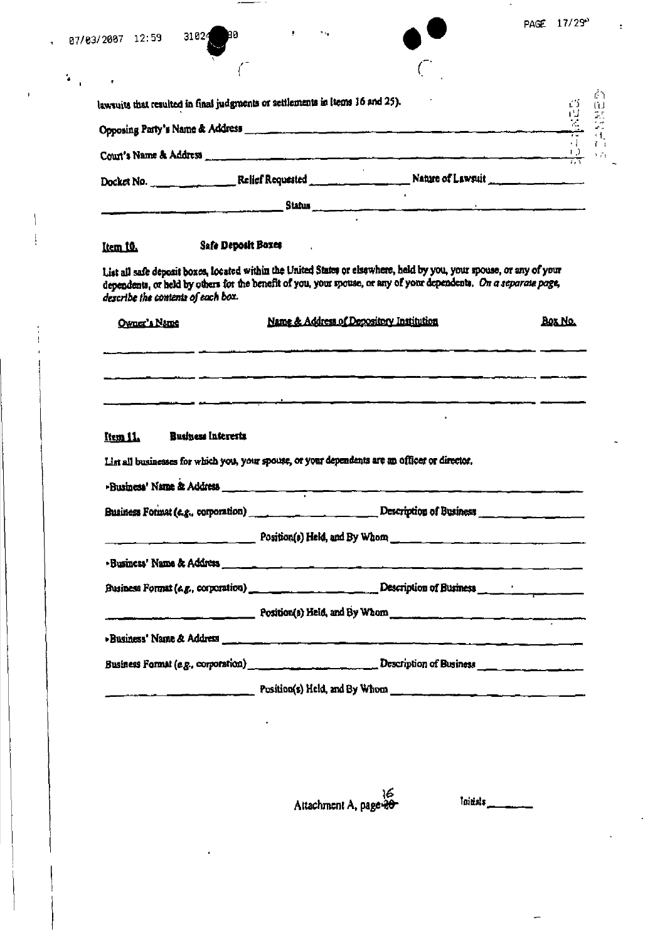| 07/03/2007 12:59                   | 90<br>31024                                                                                                          |                                                                                                                                                                                                                                                                                             |                |
|------------------------------------|----------------------------------------------------------------------------------------------------------------------|---------------------------------------------------------------------------------------------------------------------------------------------------------------------------------------------------------------------------------------------------------------------------------------------|----------------|
|                                    |                                                                                                                      |                                                                                                                                                                                                                                                                                             |                |
|                                    | lawsuits that resulted in final judgments or settlements in ltems 16 and 25).                                        |                                                                                                                                                                                                                                                                                             |                |
|                                    |                                                                                                                      |                                                                                                                                                                                                                                                                                             |                |
|                                    |                                                                                                                      |                                                                                                                                                                                                                                                                                             |                |
|                                    |                                                                                                                      |                                                                                                                                                                                                                                                                                             |                |
|                                    |                                                                                                                      |                                                                                                                                                                                                                                                                                             |                |
| Item 10.                           | Safe Deposit Boxes                                                                                                   |                                                                                                                                                                                                                                                                                             |                |
|                                    |                                                                                                                      | List all safe deposit boxes, located within the United States or elsewhere, held by you, your spouse, or any of your<br>dependents, or held by others for the benefit of you, your spouse, or any of your dependents. On a separate page,                                                   |                |
| describe the contents of each box. |                                                                                                                      |                                                                                                                                                                                                                                                                                             |                |
| Owner's Name                       |                                                                                                                      | Name & Address of Depository Institution<br>.<br>"Maria 1995 - Andrea Andrea Andrea Andrea Andrea Andrea Andrea Andrea Andrea Andrea Andrea Andrea Andrea Andre                                                                                                                             | <b>BOX NO.</b> |
| Item 11.                           | Business Interests<br>List all businesses for which you, your spouse, or your dependents are an officer or director. |                                                                                                                                                                                                                                                                                             |                |
|                                    |                                                                                                                      |                                                                                                                                                                                                                                                                                             |                |
|                                    |                                                                                                                      |                                                                                                                                                                                                                                                                                             |                |
|                                    |                                                                                                                      | $Position(s)$ Held, and By Whom $\frac{1}{s}$ and $\frac{1}{s}$ and $\frac{1}{s}$ and $\frac{1}{s}$ whom $\frac{1}{s}$ and $\frac{1}{s}$ and $\frac{1}{s}$ and $\frac{1}{s}$ and $\frac{1}{s}$ and $\frac{1}{s}$ and $\frac{1}{s}$ and $\frac{1}{s}$ and $\frac{1}{s}$ and $\frac{1}{s}$ an |                |
|                                    |                                                                                                                      | Business' Name & Address <b>Commission and Commission Commission</b> Commission and Commission Commission                                                                                                                                                                                   |                |
|                                    |                                                                                                                      | Business Format (e.g., corporation) ____________________________Description of Business ___________                                                                                                                                                                                         |                |
|                                    |                                                                                                                      | $Position (5)$ Held, and By Whom                                                                                                                                                                                                                                                            |                |
|                                    |                                                                                                                      |                                                                                                                                                                                                                                                                                             |                |

 $\begin{tabular}{ll} \multicolumn{2}{c}{\textbf{1} } \multicolumn{2}{c}{\textbf{2} } \multicolumn{2}{c}{\textbf{3} } \multicolumn{2}{c}{\textbf{4} } \multicolumn{2}{c}{\textbf{5} } \multicolumn{2}{c}{\textbf{6} } \multicolumn{2}{c}{\textbf{7} } \multicolumn{2}{c}{\textbf{8} } \multicolumn{2}{c}{\textbf{9} } \multicolumn{2}{c}{\textbf{1} } \multicolumn{2}{c}{\textbf{1} } \multicolumn{2}{c}{\textbf{1} } \multicolumn{2}{c}{\textbf{1} } \multicolumn$ 

 $\overline{1}$ 

 $\overline{\phantom{a}}$  $\mathbf{I}$ 

are<br>Attachment A, page

Initials

٠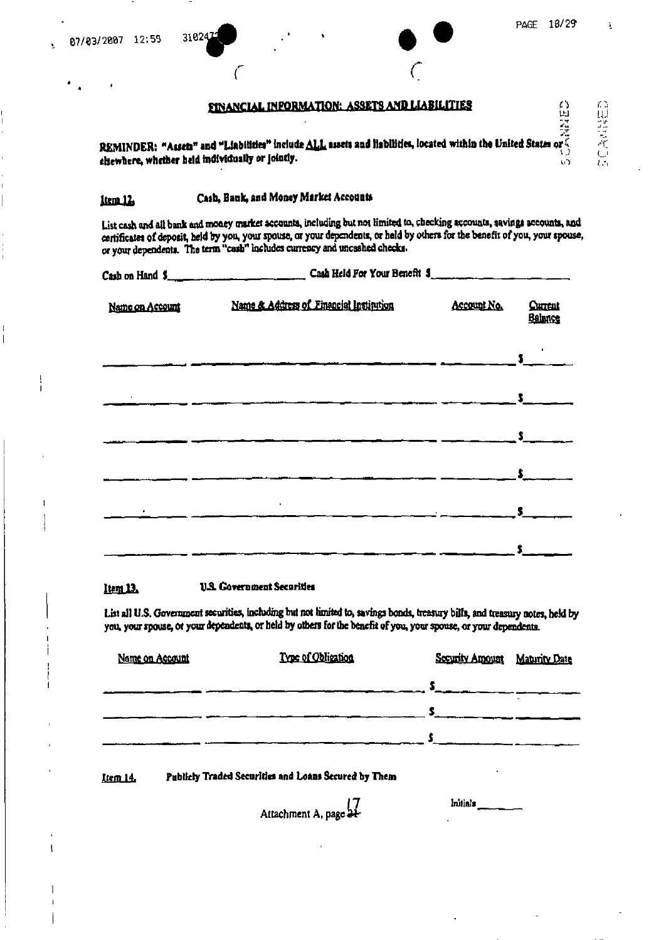EINANCIAL INFORMATION: ASSETS AND LIABILITIES<br>EXAMINDER: "Assets" and "Liabilities" include ALL assets and Habilities, located within the United States of chewhere, whether held individually or jointly.

### Cash, Bank, and Money Market Accounts item<sub>12</sub>

3102

List cash and all bank and money market accounts, including but not limited to, checking accounts, savings accounts, and certificates of deposit, held by you, your spouse, or your dependents, or held by others for the benefit of you, your spouse, or your dependents. The term "cash" includes currency and uncashed checks.

|                 | $\frac{1}{2}$ Cash on Hand $\frac{1}{2}$ Cash Held Por Your Herself $\frac{1}{2}$ |                                                                                                                                                                                                                                                                                                                     |                           |
|-----------------|-----------------------------------------------------------------------------------|---------------------------------------------------------------------------------------------------------------------------------------------------------------------------------------------------------------------------------------------------------------------------------------------------------------------|---------------------------|
| Name on Account | Name & Address of Financial Institution Account No.                               |                                                                                                                                                                                                                                                                                                                     | <b>Current</b><br>Balance |
|                 |                                                                                   |                                                                                                                                                                                                                                                                                                                     |                           |
|                 |                                                                                   |                                                                                                                                                                                                                                                                                                                     |                           |
|                 |                                                                                   |                                                                                                                                                                                                                                                                                                                     |                           |
|                 |                                                                                   |                                                                                                                                                                                                                                                                                                                     |                           |
|                 |                                                                                   | $\frac{1}{2}$ $\frac{1}{2}$ $\frac{1}{2}$ $\frac{1}{2}$ $\frac{1}{2}$ $\frac{1}{2}$ $\frac{1}{2}$ $\frac{1}{2}$ $\frac{1}{2}$ $\frac{1}{2}$ $\frac{1}{2}$ $\frac{1}{2}$ $\frac{1}{2}$ $\frac{1}{2}$ $\frac{1}{2}$ $\frac{1}{2}$ $\frac{1}{2}$ $\frac{1}{2}$ $\frac{1}{2}$ $\frac{1}{2}$ $\frac{1}{2}$ $\frac{1}{2}$ |                           |
|                 | $\bullet$                                                                         |                                                                                                                                                                                                                                                                                                                     |                           |
|                 |                                                                                   |                                                                                                                                                                                                                                                                                                                     |                           |
|                 |                                                                                   |                                                                                                                                                                                                                                                                                                                     |                           |

#### **U.S. Government Securities** ltem 12.

List all U.S. Government securities, including but not limited to, savings bonds, treasury bills, and treasury notes, held by you, your spouse, or your dependents, or held by others for the benefit of you, your spouse, or your dependents.

| Name on Account | Type of Obligation | Security Amount | <b>Maturity Date</b> |
|-----------------|--------------------|-----------------|----------------------|
|                 |                    |                 |                      |
|                 |                    |                 |                      |
|                 |                    |                 |                      |

Publicly Traded Securities and Loans Secured by Them Item 14.

Initials

Attachment A, page 21-

PAGE 18/29

τñ

 $\bullet$ 

台山 空気ない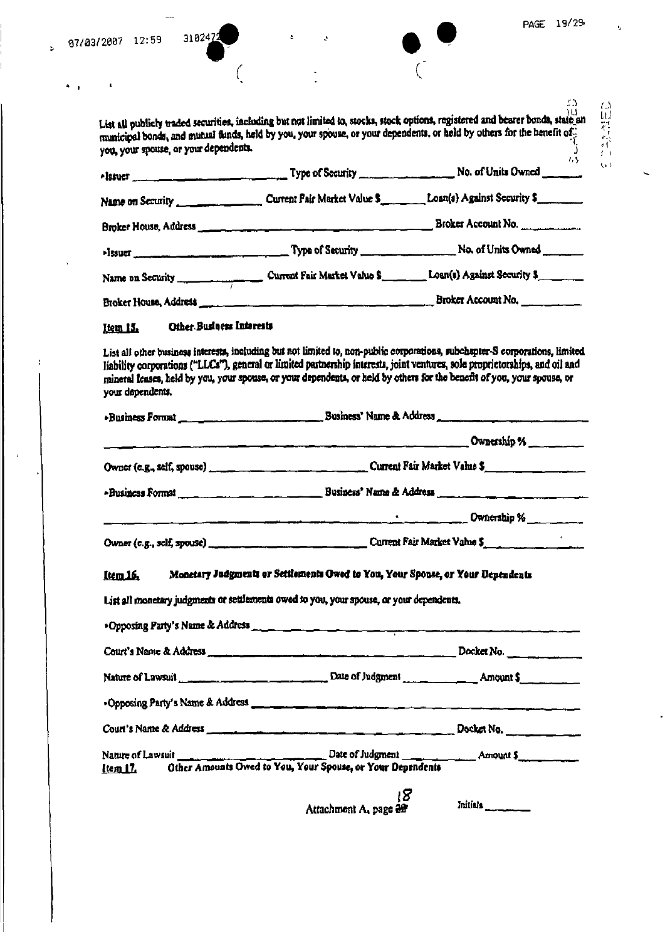$\mathbb{R}^2$ 

 $\frac{4}{3}$  .  $\frac{1}{3}$ 

 $\hat{\mathbf{r}}$ 

÷

 $\epsilon$ 

 $\overline{\phantom{a}}$ 

3102472

 $\ddot{\phantom{a}}$ 

é,

 $\overline{\phantom{0}}$ 

|                                                                                                                                                                                                                                                                                                                                                                                         | . .                                                                                                                                                                                                                                                                                                                                                                                                                                                                                                                                                     |
|-----------------------------------------------------------------------------------------------------------------------------------------------------------------------------------------------------------------------------------------------------------------------------------------------------------------------------------------------------------------------------------------|---------------------------------------------------------------------------------------------------------------------------------------------------------------------------------------------------------------------------------------------------------------------------------------------------------------------------------------------------------------------------------------------------------------------------------------------------------------------------------------------------------------------------------------------------------|
| municipal bonds, and mutual funds, held by you, your spouse, or your dependents, or held by others for the benefit of.<br>you, your spouse, or your dependents.                                                                                                                                                                                                                         |                                                                                                                                                                                                                                                                                                                                                                                                                                                                                                                                                         |
|                                                                                                                                                                                                                                                                                                                                                                                         | 775                                                                                                                                                                                                                                                                                                                                                                                                                                                                                                                                                     |
|                                                                                                                                                                                                                                                                                                                                                                                         |                                                                                                                                                                                                                                                                                                                                                                                                                                                                                                                                                         |
|                                                                                                                                                                                                                                                                                                                                                                                         |                                                                                                                                                                                                                                                                                                                                                                                                                                                                                                                                                         |
|                                                                                                                                                                                                                                                                                                                                                                                         |                                                                                                                                                                                                                                                                                                                                                                                                                                                                                                                                                         |
|                                                                                                                                                                                                                                                                                                                                                                                         |                                                                                                                                                                                                                                                                                                                                                                                                                                                                                                                                                         |
|                                                                                                                                                                                                                                                                                                                                                                                         |                                                                                                                                                                                                                                                                                                                                                                                                                                                                                                                                                         |
| Other Business Interests                                                                                                                                                                                                                                                                                                                                                                |                                                                                                                                                                                                                                                                                                                                                                                                                                                                                                                                                         |
| List all other business interests, including but not limited to, non-public corporations, subchapter-S corporations. limited<br>liability corporations ("LLCs"), general or limited partnership interesta, joint ventures, sole proprietorships, and oil and<br>mineral leases, held by you, your spouse, or your dependents, or held by others for the benefit of you, your spouse, or |                                                                                                                                                                                                                                                                                                                                                                                                                                                                                                                                                         |
|                                                                                                                                                                                                                                                                                                                                                                                         |                                                                                                                                                                                                                                                                                                                                                                                                                                                                                                                                                         |
|                                                                                                                                                                                                                                                                                                                                                                                         | Ownership %                                                                                                                                                                                                                                                                                                                                                                                                                                                                                                                                             |
|                                                                                                                                                                                                                                                                                                                                                                                         |                                                                                                                                                                                                                                                                                                                                                                                                                                                                                                                                                         |
|                                                                                                                                                                                                                                                                                                                                                                                         |                                                                                                                                                                                                                                                                                                                                                                                                                                                                                                                                                         |
|                                                                                                                                                                                                                                                                                                                                                                                         | . ______________ Ownership % _________                                                                                                                                                                                                                                                                                                                                                                                                                                                                                                                  |
| Owner (e.g., self, spouse)                                                                                                                                                                                                                                                                                                                                                              | Current Fair Market Value \$                                                                                                                                                                                                                                                                                                                                                                                                                                                                                                                            |
|                                                                                                                                                                                                                                                                                                                                                                                         |                                                                                                                                                                                                                                                                                                                                                                                                                                                                                                                                                         |
|                                                                                                                                                                                                                                                                                                                                                                                         |                                                                                                                                                                                                                                                                                                                                                                                                                                                                                                                                                         |
|                                                                                                                                                                                                                                                                                                                                                                                         |                                                                                                                                                                                                                                                                                                                                                                                                                                                                                                                                                         |
|                                                                                                                                                                                                                                                                                                                                                                                         |                                                                                                                                                                                                                                                                                                                                                                                                                                                                                                                                                         |
|                                                                                                                                                                                                                                                                                                                                                                                         |                                                                                                                                                                                                                                                                                                                                                                                                                                                                                                                                                         |
|                                                                                                                                                                                                                                                                                                                                                                                         |                                                                                                                                                                                                                                                                                                                                                                                                                                                                                                                                                         |
|                                                                                                                                                                                                                                                                                                                                                                                         |                                                                                                                                                                                                                                                                                                                                                                                                                                                                                                                                                         |
|                                                                                                                                                                                                                                                                                                                                                                                         |                                                                                                                                                                                                                                                                                                                                                                                                                                                                                                                                                         |
|                                                                                                                                                                                                                                                                                                                                                                                         | List all publicly traded securities, including but not limited to, stocks, stock options, registered and bearer bonds, state an<br>Name on Security ________________________ Current Fair Market Value \$___________Loan(s) Against Security \$<br>Monetary Judgments or Settlements Owed to You, Your Spouse, or Your Uependents<br>List all monetary judgments or settlements owed to you, your spouse, or your dependents,<br>>Opposing Party's Name & Address means the contract of the contract of the contract of the contract of the contract of |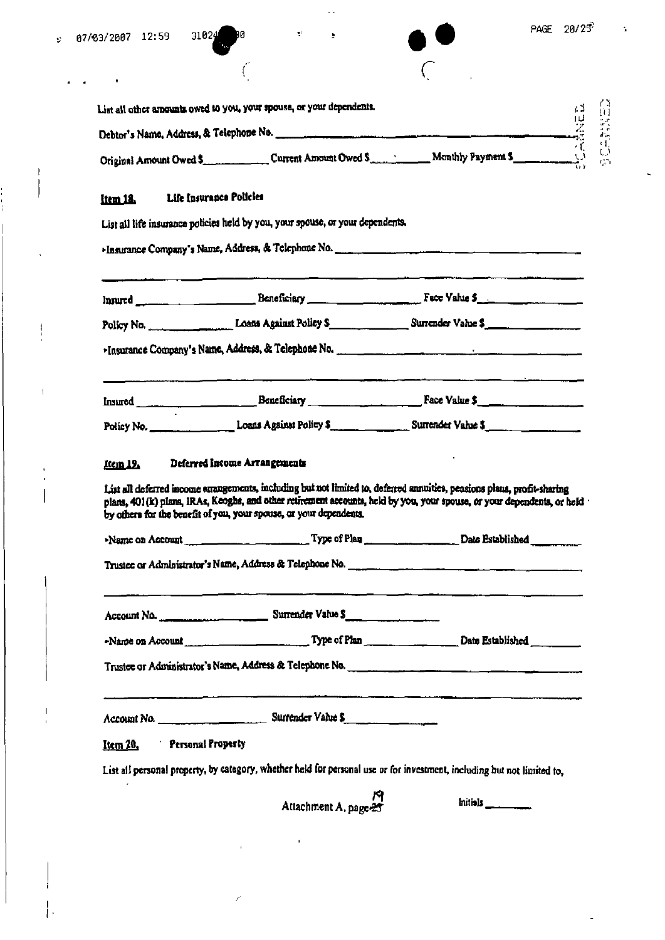$\begin{array}{c} \rule{0pt}{2ex} \rule{0pt}{2ex} \rule{0pt}{2ex} \rule{0pt}{2ex} \rule{0pt}{2ex} \rule{0pt}{2ex} \rule{0pt}{2ex} \rule{0pt}{2ex} \rule{0pt}{2ex} \rule{0pt}{2ex} \rule{0pt}{2ex} \rule{0pt}{2ex} \rule{0pt}{2ex} \rule{0pt}{2ex} \rule{0pt}{2ex} \rule{0pt}{2ex} \rule{0pt}{2ex} \rule{0pt}{2ex} \rule{0pt}{2ex} \rule{0pt}{2ex} \rule{0pt}{2ex} \rule{0pt}{2ex} \rule{0pt}{2ex} \rule{0pt}{$ 

J

 $\frac{1}{2}$ 

 $\bar{1}$ 

 $\bar{\mathbf{I}}$ 

 $\mathbf{h}$ 

 $\ddot{ }$ 

|                                       | List all other amounts owed to you, your spouse, or your dependents.                                                                                                                                                                                                                                                    |  |
|---------------------------------------|-------------------------------------------------------------------------------------------------------------------------------------------------------------------------------------------------------------------------------------------------------------------------------------------------------------------------|--|
|                                       | Debtor's Name, Address, & Telephone No.                                                                                                                                                                                                                                                                                 |  |
|                                       | Original Amount Owed \$ Current Amount Owed \$ Monthly Payment \$                                                                                                                                                                                                                                                       |  |
| Item 18.                              | Life Insurance Policies                                                                                                                                                                                                                                                                                                 |  |
|                                       | List all life insurance policies held by you, your spouse, or your dependents.                                                                                                                                                                                                                                          |  |
|                                       |                                                                                                                                                                                                                                                                                                                         |  |
|                                       | Insured _______________________________Beneficiary ______________________________Face Value \$_______________________                                                                                                                                                                                                   |  |
|                                       | Policy No. 2008 2018 Against Policy S. 2008 Surrender Value S.                                                                                                                                                                                                                                                          |  |
|                                       | Finsurance Company's Name, Address, & Telephone No. <b>2006</b> Company and the company of the company of the company                                                                                                                                                                                                   |  |
|                                       |                                                                                                                                                                                                                                                                                                                         |  |
|                                       |                                                                                                                                                                                                                                                                                                                         |  |
| Item 19.                              | Deferred Income Arrangements                                                                                                                                                                                                                                                                                            |  |
|                                       | List all deferred income anangements, including but not limited to, deferred annuities, peasions plana, profit-sharing<br>plans, 401(k) plans, IRAs, Keoghs, and other retirement accounts, held by you, your spouse, or your dependents, or held<br>by others for the benefit of you, your spouse, or your dependents. |  |
|                                       | Name on Account __________________________Type of Plan ____________________Date Established __________________                                                                                                                                                                                                          |  |
|                                       |                                                                                                                                                                                                                                                                                                                         |  |
|                                       |                                                                                                                                                                                                                                                                                                                         |  |
|                                       |                                                                                                                                                                                                                                                                                                                         |  |
|                                       |                                                                                                                                                                                                                                                                                                                         |  |
|                                       |                                                                                                                                                                                                                                                                                                                         |  |
| Personal Property<br>It <u>em 20.</u> |                                                                                                                                                                                                                                                                                                                         |  |

 $\mathbf{u}$ 

 $\overline{\phantom{a}}$ 

Ź

÷,

è

 $\tilde{\mathcal{L}}$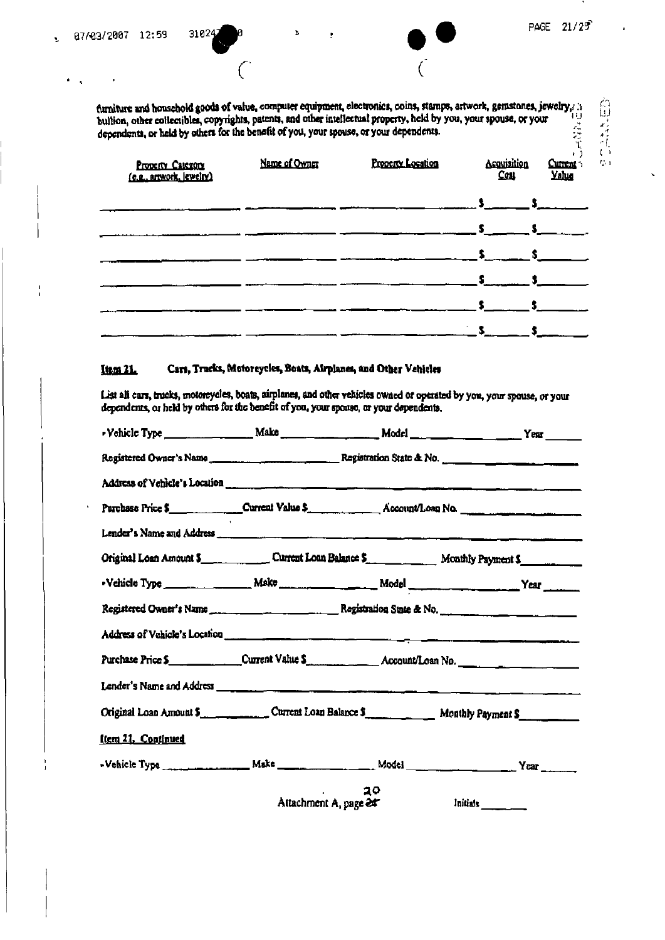台印 なんじり

furniture and household goods of value, computer equipment, electronics, coins, stamps, artwork, gemstones, jewelry,  $\frac{1}{10}$  bullion, other collectibles, copyrights, patents, and other intellectual property, held by yo

ž.

| Property Category<br>(e.g., artwork, jewelry) | Name of Owner<br>Property Location |  | Acquisition<br>Cou | Current 5<br><b>Yalug</b> |
|-----------------------------------------------|------------------------------------|--|--------------------|---------------------------|
|                                               |                                    |  |                    |                           |
|                                               |                                    |  |                    |                           |
|                                               |                                    |  |                    |                           |
|                                               |                                    |  |                    |                           |
|                                               |                                    |  |                    |                           |
|                                               |                                    |  |                    |                           |

#### Item 21. Cart, Trucks, Motoreycles, Boats, Airplanes, and Other Vehicles

List all cars, trucks, motorcycles, boats, airplanes, and other vehicles owned or operated by you, your spouse, or your dependents, or held by others for the benefit of you, your sponse, or your dependents.

| • Vehicle Type _______________________Make _________________________Model ______________________________Year _______   |    |                       |
|------------------------------------------------------------------------------------------------------------------------|----|-----------------------|
|                                                                                                                        |    |                       |
| Address of Vehicle's Location <b>communication</b> and continued to the continued of the continued of the continued of |    |                       |
| Purchase Price \$                                                                                                      |    |                       |
|                                                                                                                        |    |                       |
| Original Loan Amount \$                                                                                                |    |                       |
|                                                                                                                        |    |                       |
|                                                                                                                        |    |                       |
|                                                                                                                        |    |                       |
| Purchase Price \$________________Current Value \$____________________Account/Loan No.                                  |    |                       |
|                                                                                                                        |    |                       |
| Original Loan Amount 5. Current Loan Balance S. Monthly Payment S.                                                     |    |                       |
| Item 21. Continued                                                                                                     |    |                       |
|                                                                                                                        |    |                       |
|                                                                                                                        | 20 |                       |
|                                                                                                                        |    | Attachment A, page 24 |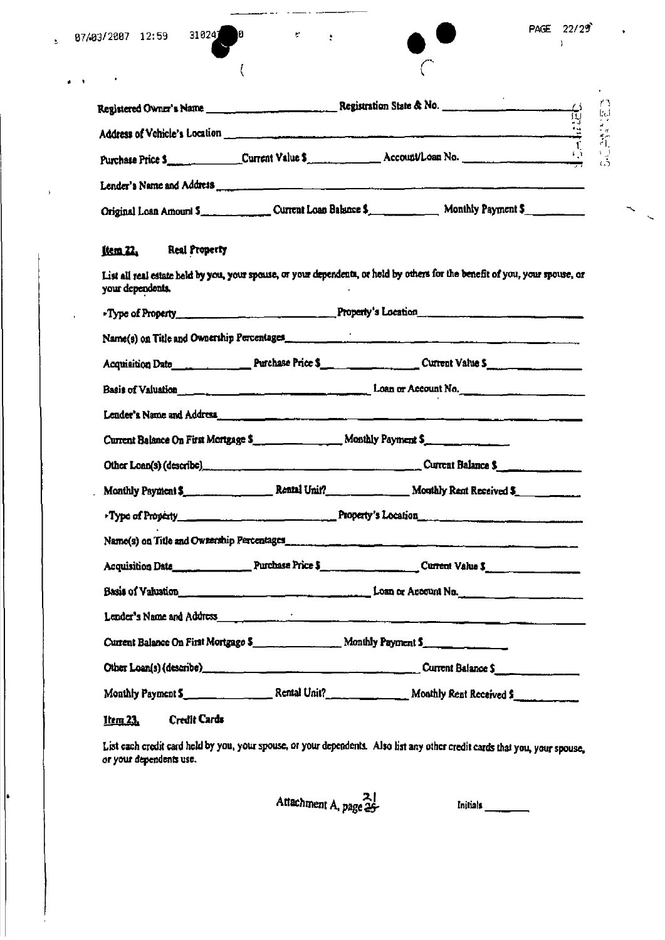$\cdot$ 

 $\pmb{\rangle}$ 

ŀ

 $\cdot$ 

**P** 

 $\langle$ 

 $\mathcal{C}$ 

 $\ddot{\cdot}$ 

|                                         | Purchase Price 5 _________________Current Value \$ _______________Account/Loan No.                                           |
|-----------------------------------------|------------------------------------------------------------------------------------------------------------------------------|
|                                         | Lender's Name and Address <b>The Commission of the Commission Commission Commission Commission Commission</b>                |
|                                         | Original Loan Amount 5                                                                                                       |
| <b>Real Property</b><br><u>ltem 22.</u> |                                                                                                                              |
| your dependents.                        | List all real estate held by you, your spouse, or your dependents, or held by others for the benefit of you, your spouse, or |
|                                         |                                                                                                                              |
|                                         | Name(s) on Title and Ownership Percentages                                                                                   |
|                                         | Acquisition Date 1944 1944 1944 Purchase Price \$1,000 million 200 million 200 million 200 million 200 million               |
|                                         | Basis of Valuation <u>compare and the second of the second</u> Loan or Account No.                                           |
|                                         | Lender's Name and Address.                                                                                                   |
|                                         | Current Balance On First Mortgage \$                                                                                         |
|                                         | Other Loan(s) (describe)<br>1983 - Current Balance S                                                                         |
|                                         | Monthly Payment \$ Rental Unit? Monthly Rent Received \$                                                                     |
|                                         | Type of Property Committee Committee of Property's Location                                                                  |
|                                         |                                                                                                                              |
|                                         |                                                                                                                              |
|                                         | Basis of Valustion <u>Production and Communications</u> and Loss or Account No.                                              |
|                                         | Lender's Name and Address <b>Container and Container and Container and Container and Containers and Containers</b>           |
|                                         |                                                                                                                              |
|                                         | Current Balance \$                                                                                                           |
|                                         |                                                                                                                              |
| <b>Credit Cards</b><br><u>Item 23.</u>  |                                                                                                                              |

List each credit card held by you, your spouse, or your dependents. Also list any other credit cards that you, your spouse, or your spouse,

Attachment A, page 25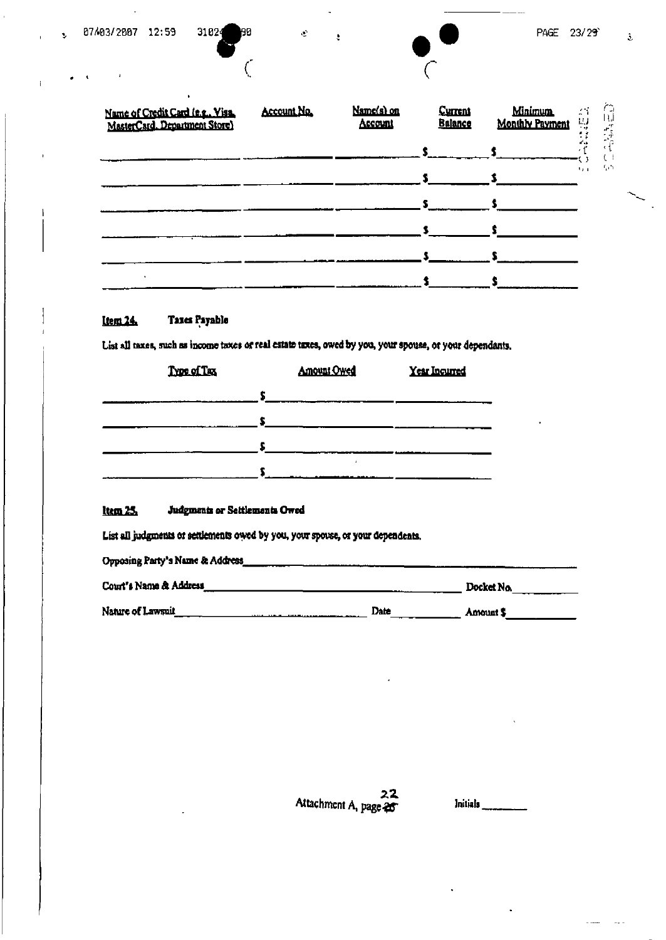$\ddot{\mathbf{z}}$ 

 $\mathbf{r}$ 

90

€

 $\langle \mathbf{e} \rangle$ 

 $\ddot{\mathbf{z}}$ 

| Name of Credit Card (e.g., Visa,<br>MasterCard. Department Store) | Account No. | Name(s) on<br>Account | <b>Current</b><br><b>Balance</b> | <b>Minimum</b><br><b>Monthly Payment</b> | 24           | sк<br>$\frac{1}{\epsilon}$ |                          |
|-------------------------------------------------------------------|-------------|-----------------------|----------------------------------|------------------------------------------|--------------|----------------------------|--------------------------|
|                                                                   |             |                       |                                  |                                          |              |                            |                          |
|                                                                   |             |                       |                                  |                                          | $\mathbf{1}$ | 50                         |                          |
|                                                                   |             |                       |                                  |                                          |              |                            | $\overline{\phantom{1}}$ |
|                                                                   |             |                       |                                  |                                          |              |                            |                          |
|                                                                   |             |                       |                                  |                                          |              |                            |                          |
|                                                                   |             |                       |                                  |                                          |              |                            |                          |

#### Taxes Payable Item 24.

List all taxes, such as income taxes or real estate tuxes, owed by you, your spouse, or your dependants.

| Type of Tax | <b>Amount Owed</b> | Year Incurred |
|-------------|--------------------|---------------|
|             |                    |               |
|             |                    |               |
|             |                    |               |
|             |                    |               |

### $ltm25$ </u> Judgments or Settlements Owed

List all judgments or settlements owed by you, your spouse, or your dependents.

| Opposing Party's Name & Address_ |      |            |
|----------------------------------|------|------------|
| Court's Name & Address           |      | Docket No. |
| Nature of Lawsuit                | Date | Amount S   |

22 Attachment A, page 25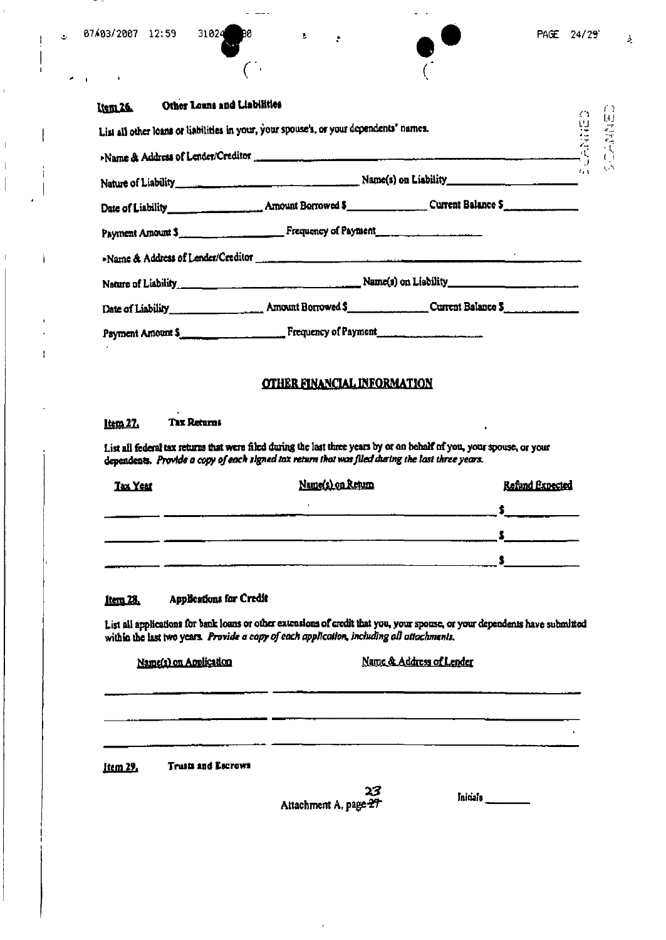$\mathcal{F}$ 

 $\overline{\phantom{a}}$ 

 $\bar{\mathbf{E}}$ 

 $\mathbf{A}$ 

| Item 26. Other Loans and Liabilities |                                                                                                                                                                     |                            |    |
|--------------------------------------|---------------------------------------------------------------------------------------------------------------------------------------------------------------------|----------------------------|----|
|                                      | Liem 26. Other Loans and Liabilities<br>List all other loans or liabilities in your, your spouse's, or your dependents' names.<br>Name & Address of Lender/Creditor |                            |    |
|                                      |                                                                                                                                                                     |                            |    |
|                                      |                                                                                                                                                                     | $\mathcal{L}_{\mathbf{A}}$ | Ų. |
|                                      |                                                                                                                                                                     |                            |    |
|                                      | Payment Amount \$                                                                                                                                                   |                            |    |
|                                      | -Name & Address of Lender/Creditor                                                                                                                                  |                            |    |
|                                      |                                                                                                                                                                     |                            |    |
|                                      |                                                                                                                                                                     |                            |    |
|                                      | Payment Amount \$                                                                                                                                                   |                            |    |

## **OTHER FINANCIAL INFORMATION**

#### **Tax Returns** <u>Item 27.</u>

List all federal tax returns that were filed during the last three years by or on behalf of you, your spouse, or your dependents. Provide a copy of each signed tax return that was filed during the last three years.

| Tax Year | Name(s) on Return | Refund Expected |
|----------|-------------------|-----------------|
|          |                   |                 |
|          |                   |                 |
|          |                   |                 |

#### Applications for Credit <u>Item 28.</u>

List all applications for bank loans or other extensions of credit that you, your spouse, or your dependents have submitted within the last two years. Provide a capy of each application, including all attachments.

Name(s) on Application

Name & Address of Lender

**Truits and Escrows** Item 29,

23 Attachment A, page 27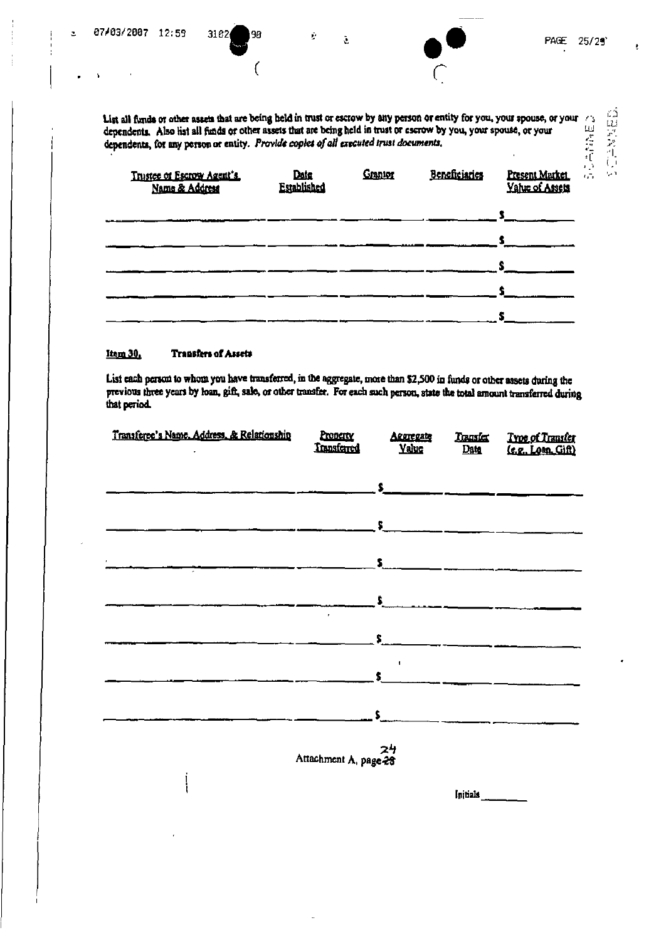| 07/03/2007 12:59 |                | 3102<br>98                | Ė.                                                                                    | $\tilde{\mathcal{L}}$ |         |                                                                                                                     | PAGE.                                                                                                                       | 25/29'             |
|------------------|----------------|---------------------------|---------------------------------------------------------------------------------------|-----------------------|---------|---------------------------------------------------------------------------------------------------------------------|-----------------------------------------------------------------------------------------------------------------------------|--------------------|
|                  |                |                           |                                                                                       |                       |         |                                                                                                                     |                                                                                                                             |                    |
|                  |                |                           | dependents, for any person or entity. Provide copies of all executed trust documents, |                       |         | dependents. Also hist all finds or other assets that are being held in trust or escrow by you, your spouse, or your | List all funds or other assets that are being held in trust or escrow by any person or entity for you, your spouse, or your | にほんかん<br>73<br>四个门 |
|                  | Name & Address | Trustee of Escrow Agent's | Datg<br>Established                                                                   |                       | Granton | Beneficiaries                                                                                                       | Present Market<br>Yatur of Assets                                                                                           | $\mathbf{r}_i$     |
|                  |                |                           |                                                                                       |                       |         |                                                                                                                     |                                                                                                                             |                    |
|                  |                |                           |                                                                                       |                       |         |                                                                                                                     |                                                                                                                             |                    |

ŧ

#### Item 30. **Transfers of Assets**

 $\mathcal{A}$ 

j

 $\frac{1}{2}$ 

List each person to whom you have transferred, in the aggregate, more than \$2,500 in funds or other assets during the previous three years by loan, gift, sale, or other transfer. For each such person, state the total amoun

\$

| Transferee's Name, Address, & Relationship | Property<br><b>Transferred</b> | ARRIERATE<br><b>Yaluc</b>                                                                                                                                                                                                            | Transfer<br>Dam | Type of Transfer<br>(e.g. Loan Gift) |
|--------------------------------------------|--------------------------------|--------------------------------------------------------------------------------------------------------------------------------------------------------------------------------------------------------------------------------------|-----------------|--------------------------------------|
|                                            |                                |                                                                                                                                                                                                                                      |                 |                                      |
|                                            |                                | <u> 5 — Second Alexander and Alexander and Alexander and Alexander and Alexander and Alexander and Alexander and Alexander and Alexander and Alexander and Alexander and Alexander and Alexander and Alexander and Alexander and</u> |                 |                                      |
|                                            |                                |                                                                                                                                                                                                                                      |                 |                                      |
|                                            |                                |                                                                                                                                                                                                                                      |                 |                                      |
|                                            | $\bullet$                      | $\frac{1}{2}$                                                                                                                                                                                                                        |                 |                                      |
|                                            |                                | $\sim$<br>$\sim$ 14 $\,$                                                                                                                                                                                                             |                 |                                      |
|                                            |                                | $S_{\text{max}}$                                                                                                                                                                                                                     |                 |                                      |
|                                            |                                |                                                                                                                                                                                                                                      |                 |                                      |
|                                            | $24$<br>Attachment A, page 28  |                                                                                                                                                                                                                                      |                 |                                      |
|                                            |                                |                                                                                                                                                                                                                                      | Initials        |                                      |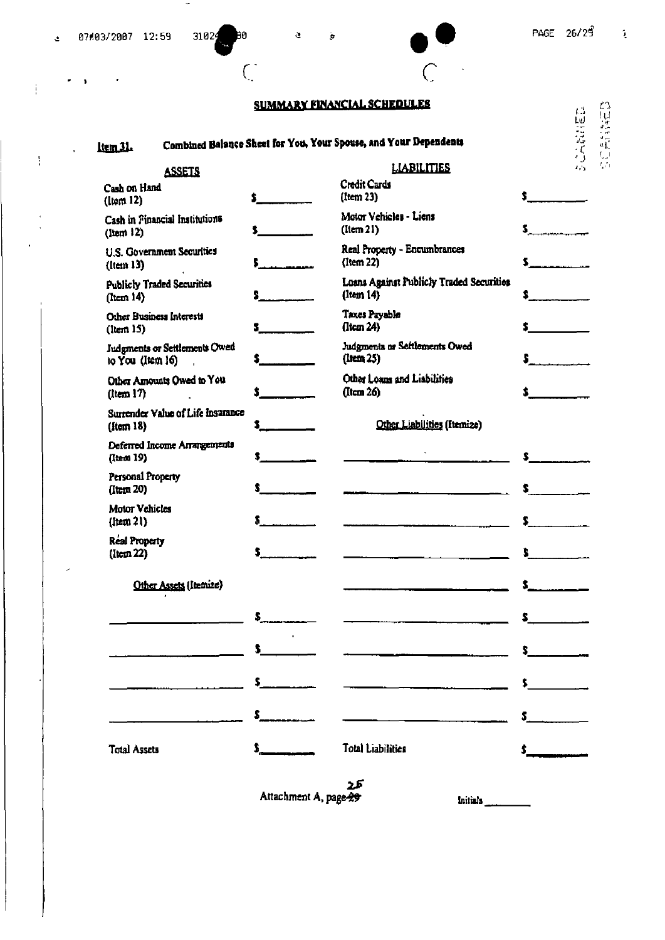×

 $\Delta$ 

Ť

 $\frac{1}{2}$ 

 $\cdot$  $\pmb{\mathfrak{z}}$ 

 $\overline{\phantom{0}}$ 

 $\boldsymbol{\tau}$ 

31024

ÞО

 $\overline{\mathcal{C}}$ 

l,

 $\mathbb{C}$ 

## **SUMMARY FINANCIAL SCHEDULES**

 $\bar{\mathbf{e}}$ 

### Combined Balance Sheet for You, Your Spouse, and Your Dependents Item 31.

 $\mathfrak{S}$ 

| ۲J        | r ,                |
|-----------|--------------------|
| Lυ.       | I<br>$\frac{1}{2}$ |
| ۰<br>حداد | ı.                 |
|           | чť<br>r.           |
|           | م ا                |

| <b>ASSETS</b>                                           |                                                                                                                | <b>LIABILITIES</b>                                    | Đ<br>475                              |
|---------------------------------------------------------|----------------------------------------------------------------------------------------------------------------|-------------------------------------------------------|---------------------------------------|
| Cash on Hand<br>(Item 12)                               | $\bullet$ $\bullet$                                                                                            | Credit Cards<br>(Item 23)                             | $\mathbf{s}$ and $\mathbf{s}$         |
| Cash in Financial Institutions<br>$($ ltem $12)$        | $\mathbf{s}$ and the set of $\mathbf{s}$                                                                       | Motor Vehicles - Liens<br>(lcm 2l)                    | $\overline{\mathbf{5}}$ , and the set |
| U.S. Government Securities<br>$($ ltem 13 $)$           |                                                                                                                | Real Property - Encumbrances<br>(Item 22)             |                                       |
| <b>Publicly Traded Securities</b><br>$($ item 14 $)$    |                                                                                                                | Loans Against Publicly Traded Securities<br>(Item 14) |                                       |
| Other Business Interests<br>(lcm 15)                    |                                                                                                                | Taxes Payable<br>(lcm 24)                             |                                       |
| Judgments or Settlements Owed<br>to You (Item 16)       |                                                                                                                | Judgments or Settlements Owed<br>$($ Item 25 $)$      | S.                                    |
| Other Amounts Owed to You<br>(ltem 17)                  | $\mathbf{s}$ . The set of $\mathbf{s}$                                                                         | Other Loans and Liabilities<br>$($ Item 26 $)$        |                                       |
| Surrender Value of Life Insurance<br>$(\text{fcm } 18)$ |                                                                                                                | Other Liabilities (Itemize)                           |                                       |
| Deferred Income Arrangements<br>(Item 19)               |                                                                                                                |                                                       | s                                     |
| Personal Property<br>$($ Item 20 $)$                    |                                                                                                                |                                                       | $\sim$ $\sim$ $\sim$                  |
| <b>Motor Vehicles</b><br>$($ Item $21)$                 | and a series of the series of the series of the series of the series of the series of the series of the series |                                                       | $\sum_{i=1}^{n}$                      |
| <b>Real Property</b><br>$($ Item 22 $)$                 | $\overline{a}$                                                                                                 |                                                       | $\sim$                                |
| Other Assets (Itemize)                                  |                                                                                                                |                                                       | $\sim$                                |
|                                                         | s.                                                                                                             |                                                       | $\sim$                                |
|                                                         | s                                                                                                              |                                                       | s.                                    |
|                                                         | \$.                                                                                                            |                                                       | $\sim$ $\sim$                         |
|                                                         | \$.                                                                                                            |                                                       | \$                                    |
| <b>Total Assets</b>                                     |                                                                                                                | <b>Total Liabilities</b>                              |                                       |

کے 2<br>Attachment A, page 29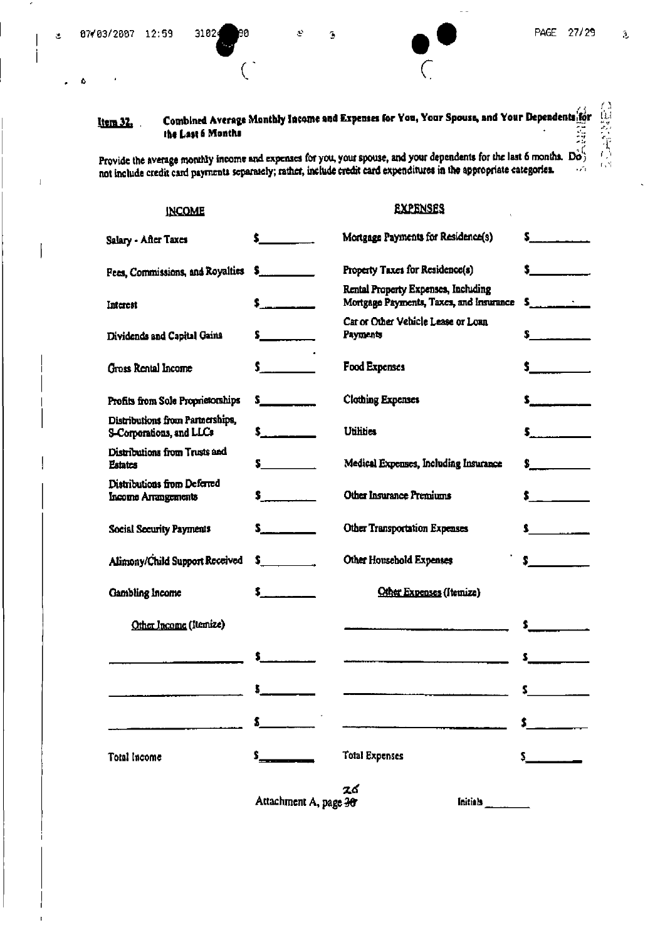$\mathfrak{L}% _{A}^{\ast}(\mathbb{R}^{N})$ 

 $\pmb{\hat{v}}$  $\bullet$ 

3102

**INCOME** 

80

Ъ

 $\tilde{\epsilon}$ 

**EXPENSES** 

E.

自然会社会

### Combined Average Monthly Income and Expenses for You, Your Spouse, and Your Dependents for Item 32. the Last 6 Months

Provide the average monthly income and expenses for you, your spouse, and your dependents for the last 6 months.  $\overrightarrow{Do}$  and include credit card payments separately; rather, include credit card expenditures in the approp

| Salary - After Taxes                                         | $\sim$ $\sim$                 | Mortgage Payments for Residence(s)                                                                                                                                                                                                |                                          |
|--------------------------------------------------------------|-------------------------------|-----------------------------------------------------------------------------------------------------------------------------------------------------------------------------------------------------------------------------------|------------------------------------------|
| Fees, Commissions, and Royalties                             | $\sim$                        | Property Taxes for Residence(s)                                                                                                                                                                                                   | $\sim$                                   |
| Interest                                                     |                               | Rental Property Expenses, Including<br>Mortgage Payments, Taxes, and Insurance                                                                                                                                                    |                                          |
| Dividends and Capital Gains                                  | $\sim$                        | Car or Other Vehicle Lease or Loan<br>Payments                                                                                                                                                                                    | $\sim$                                   |
| Gross Rental Income                                          | $\mathbf{s}$ and $\mathbf{s}$ | <b>Food Expenses</b>                                                                                                                                                                                                              | $\sim$ $\sim$                            |
| Profits from Sole Proprietorships                            | $\sim$                        | <b>Clothing Expenses</b>                                                                                                                                                                                                          | $\sim$                                   |
| Distributions from Partnerships,<br>S-Corporations, and LLCs |                               | <b>Utilities</b>                                                                                                                                                                                                                  | $\mathsf{S}$ . The state of $\mathsf{S}$ |
| Distributions from Trusts and<br><b>Estates</b>              | $\sim$ $\sim$                 | Medical Expenses, Including Insurance                                                                                                                                                                                             | $\sim$                                   |
| Distributions from Deferred<br>Income Arrangements           | $\sim$                        | Other Insurance Premiums                                                                                                                                                                                                          | $\sim$ $\sim$                            |
| <b>Social Security Payments</b>                              | $s_{\dots}$                   | Other Transportation Expenses                                                                                                                                                                                                     |                                          |
| Alimony/Child Support Received                               | $S_{\text{max}}$              | Other Household Expenses                                                                                                                                                                                                          | $\sim$ $\sim$ $\sim$                     |
| Gambling Income                                              | $5 - 1$                       | Other Expenses (Itemize)                                                                                                                                                                                                          |                                          |
| Other Income (Itemize)                                       |                               |                                                                                                                                                                                                                                   |                                          |
|                                                              |                               | $\frac{1}{2}$ . The contract of the contract of the contract of the contract of the contract of the contract of the contract of the contract of the contract of the contract of the contract of the contract of the contract of t |                                          |
|                                                              |                               |                                                                                                                                                                                                                                   | $\sim$ $\sim$                            |
|                                                              |                               |                                                                                                                                                                                                                                   |                                          |
| <b>Total Income</b>                                          | $\mathbf{S}_{\text{max}}$     | <b>Total Expenses</b>                                                                                                                                                                                                             | $\mathsf{s}$                             |
|                                                              | Attachment A, page 30         | 26<br>Initials                                                                                                                                                                                                                    |                                          |